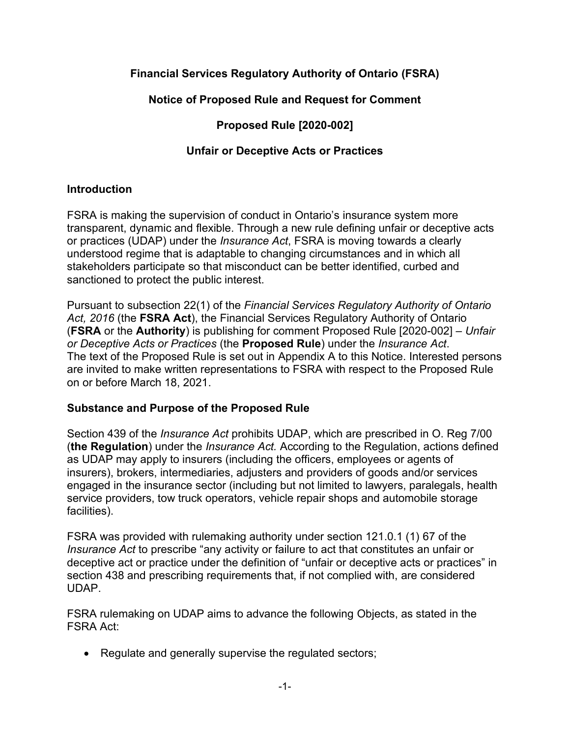# **Financial Services Regulatory Authority of Ontario (FSRA)**

# **Notice of Proposed Rule and Request for Comment**

# **Proposed Rule [2020-002]**

# **Unfair or Deceptive Acts or Practices**

# **Introduction**

FSRA is making the supervision of conduct in Ontario's insurance system more transparent, dynamic and flexible. Through a new rule defining unfair or deceptive acts or practices (UDAP) under the *Insurance Act*, FSRA is moving towards a clearly understood regime that is adaptable to changing circumstances and in which all stakeholders participate so that misconduct can be better identified, curbed and sanctioned to protect the public interest.

Pursuant to subsection 22(1) of the *Financial Services Regulatory Authority of Ontario Act, 2016* (the **FSRA Act**), the Financial Services Regulatory Authority of Ontario (**FSRA** or the **Authority**) is publishing for comment Proposed Rule [2020-002] – *Unfair or Deceptive Acts or Practices* (the **Proposed Rule**) under the *Insurance Act*. The text of the Proposed Rule is set out in Appendix A to this Notice. Interested persons are invited to make written representations to FSRA with respect to the Proposed Rule on or before March 18, 2021.

## **Substance and Purpose of the Proposed Rule**

Section 439 of the *Insurance Act* prohibits UDAP, which are prescribed in O. Reg 7/00 (**the Regulation**) under the *Insurance Act.* According to the Regulation, actions defined as UDAP may apply to insurers (including the officers, employees or agents of insurers), brokers, intermediaries, adjusters and providers of goods and/or services engaged in the insurance sector (including but not limited to lawyers, paralegals, health service providers, tow truck operators, vehicle repair shops and automobile storage facilities).

FSRA was provided with rulemaking authority under section 121.0.1 (1) 67 of the *Insurance Act* to prescribe "any activity or failure to act that constitutes an unfair or deceptive act or practice under the definition of "unfair or deceptive acts or practices" in section 438 and prescribing requirements that, if not complied with, are considered UDAP.

FSRA rulemaking on UDAP aims to advance the following Objects, as stated in the FSRA Act:

• Regulate and generally supervise the regulated sectors;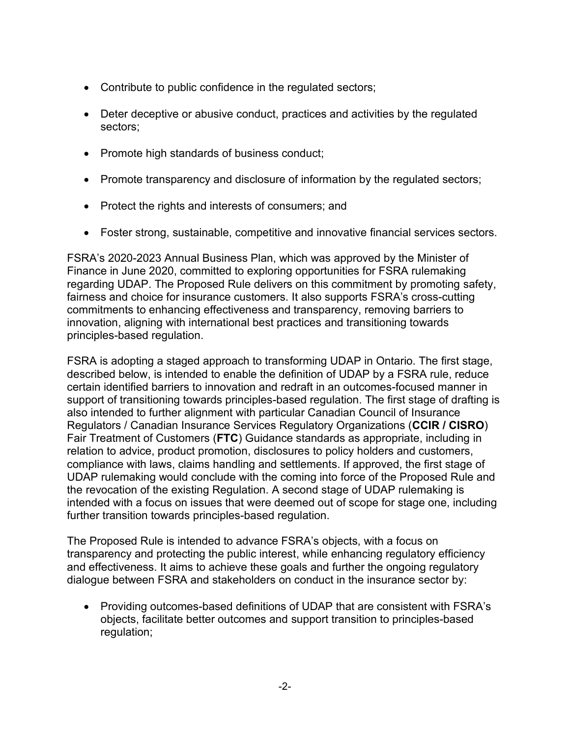- Contribute to public confidence in the regulated sectors;
- Deter deceptive or abusive conduct, practices and activities by the regulated sectors;
- Promote high standards of business conduct;
- Promote transparency and disclosure of information by the regulated sectors;
- Protect the rights and interests of consumers; and
- Foster strong, sustainable, competitive and innovative financial services sectors.

FSRA's 2020-2023 Annual Business Plan, which was approved by the Minister of Finance in June 2020, committed to exploring opportunities for FSRA rulemaking regarding UDAP. The Proposed Rule delivers on this commitment by promoting safety, fairness and choice for insurance customers. It also supports FSRA's cross-cutting commitments to enhancing effectiveness and transparency, removing barriers to innovation, aligning with international best practices and transitioning towards principles-based regulation.

FSRA is adopting a staged approach to transforming UDAP in Ontario. The first stage, described below, is intended to enable the definition of UDAP by a FSRA rule, reduce certain identified barriers to innovation and redraft in an outcomes-focused manner in support of transitioning towards principles-based regulation. The first stage of drafting is also intended to further alignment with particular Canadian Council of Insurance Regulators / Canadian Insurance Services Regulatory Organizations (**CCIR / CISRO**) Fair Treatment of Customers (**FTC**) Guidance standards as appropriate, including in relation to advice, product promotion, disclosures to policy holders and customers, compliance with laws, claims handling and settlements. If approved, the first stage of UDAP rulemaking would conclude with the coming into force of the Proposed Rule and the revocation of the existing Regulation. A second stage of UDAP rulemaking is intended with a focus on issues that were deemed out of scope for stage one, including further transition towards principles-based regulation.

The Proposed Rule is intended to advance FSRA's objects, with a focus on transparency and protecting the public interest, while enhancing regulatory efficiency and effectiveness. It aims to achieve these goals and further the ongoing regulatory dialogue between FSRA and stakeholders on conduct in the insurance sector by:

• Providing outcomes-based definitions of UDAP that are consistent with FSRA's objects, facilitate better outcomes and support transition to principles-based regulation;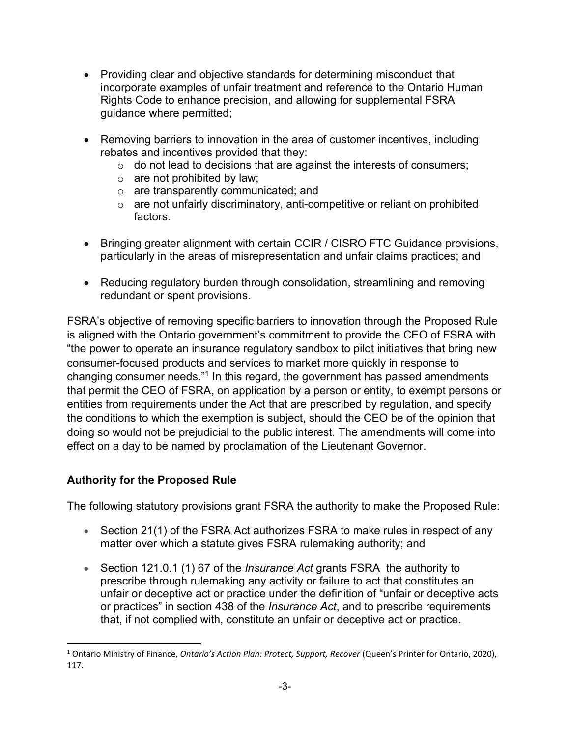- Providing clear and objective standards for determining misconduct that incorporate examples of unfair treatment and reference to the Ontario Human Rights Code to enhance precision, and allowing for supplemental FSRA guidance where permitted;
- Removing barriers to innovation in the area of customer incentives, including rebates and incentives provided that they:
	- $\circ$  do not lead to decisions that are against the interests of consumers;
	- $\circ$  are not prohibited by law;
	- o are transparently communicated; and
	- o are not unfairly discriminatory, anti-competitive or reliant on prohibited factors.
- Bringing greater alignment with certain CCIR / CISRO FTC Guidance provisions, particularly in the areas of misrepresentation and unfair claims practices; and
- Reducing regulatory burden through consolidation, streamlining and removing redundant or spent provisions.

<span id="page-2-1"></span>FSRA's objective of removing specific barriers to innovation through the Proposed Rule is aligned with the Ontario government's commitment to provide the CEO of FSRA with "the power to operate an insurance regulatory sandbox to pilot initiatives that bring new consumer-focused products and services to market more quickly in response to changing consumer needs."<sup>[1](#page-2-0)</sup> In this regard, the government has passed amendments that permit the CEO of FSRA, on application by a person or entity, to exempt persons or entities from requirements under the Act that are prescribed by regulation, and specify the conditions to which the exemption is subject, should the CEO be of the opinion that doing so would not be prejudicial to the public interest. The amendments will come into effect on a day to be named by proclamation of the Lieutenant Governor.

# **Authority for the Proposed Rule**

The following statutory provisions grant FSRA the authority to make the Proposed Rule:

- Section 21(1) of the FSRA Act authorizes FSRA to make rules in respect of any matter over which a statute gives FSRA rulemaking authority; and
- Section 121.0.1 (1) 67 of the *Insurance Act* grants FSRA the authority to prescribe through rulemaking any activity or failure to act that constitutes an unfair or deceptive act or practice under the definition of "unfair or deceptive acts or practices" in section 438 of the *Insurance Act*, and to prescribe requirements that, if not complied with, constitute an unfair or deceptive act or practice.

<span id="page-2-0"></span>[<sup>1</sup>](#page-2-1) Ontario Ministry of Finance, *Ontario's Action Plan: Protect, Support, Recover* (Queen's Printer for Ontario, 2020), 117.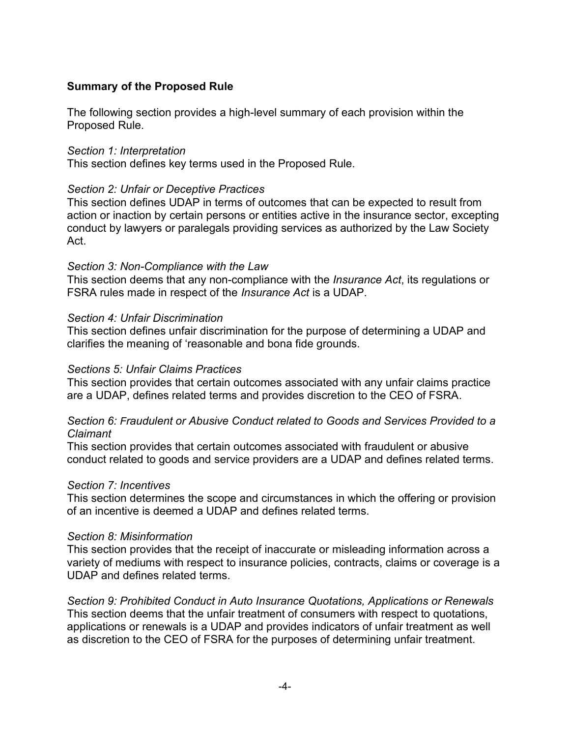## **Summary of the Proposed Rule**

The following section provides a high-level summary of each provision within the Proposed Rule.

### *Section 1: Interpretation*

This section defines key terms used in the Proposed Rule.

### *Section 2: Unfair or Deceptive Practices*

This section defines UDAP in terms of outcomes that can be expected to result from action or inaction by certain persons or entities active in the insurance sector, excepting conduct by lawyers or paralegals providing services as authorized by the Law Society Act.

### *Section 3: Non-Compliance with the Law*

This section deems that any non-compliance with the *Insurance Act*, its regulations or FSRA rules made in respect of the *Insurance Act* is a UDAP.

### *Section 4: Unfair Discrimination*

This section defines unfair discrimination for the purpose of determining a UDAP and clarifies the meaning of 'reasonable and bona fide grounds.

### *Sections 5: Unfair Claims Practices*

This section provides that certain outcomes associated with any unfair claims practice are a UDAP, defines related terms and provides discretion to the CEO of FSRA.

### *Section 6: Fraudulent or Abusive Conduct related to Goods and Services Provided to a Claimant*

This section provides that certain outcomes associated with fraudulent or abusive conduct related to goods and service providers are a UDAP and defines related terms.

### *Section 7: Incentives*

This section determines the scope and circumstances in which the offering or provision of an incentive is deemed a UDAP and defines related terms.

### *Section 8: Misinformation*

This section provides that the receipt of inaccurate or misleading information across a variety of mediums with respect to insurance policies, contracts, claims or coverage is a UDAP and defines related terms.

*Section 9: Prohibited Conduct in Auto Insurance Quotations, Applications or Renewals* This section deems that the unfair treatment of consumers with respect to quotations, applications or renewals is a UDAP and provides indicators of unfair treatment as well as discretion to the CEO of FSRA for the purposes of determining unfair treatment.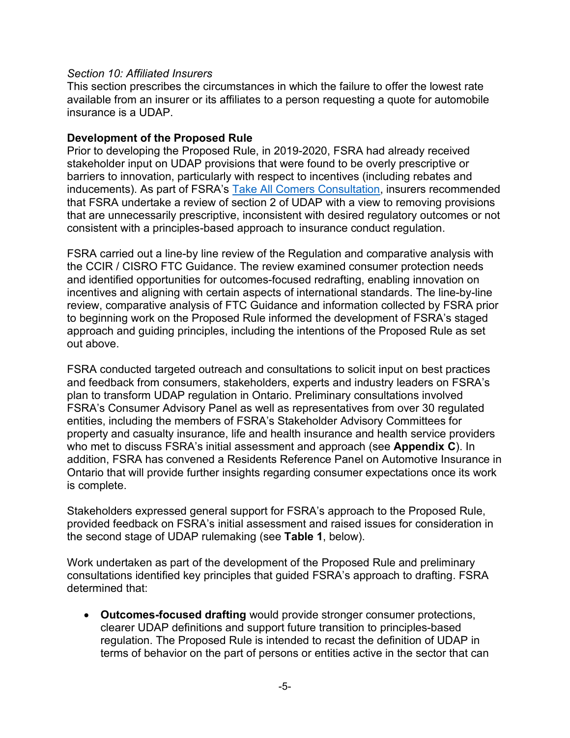### *Section 10: Affiliated Insurers*

This section prescribes the circumstances in which the failure to offer the lowest rate available from an insurer or its affiliates to a person requesting a quote for automobile insurance is a UDAP.

## **Development of the Proposed Rule**

Prior to developing the Proposed Rule, in 2019-2020, FSRA had already received stakeholder input on UDAP provisions that were found to be overly prescriptive or barriers to innovation, particularly with respect to incentives (including rebates and inducements). As part of FSRA's [Take All Comers Consultation](https://www.fsrao.ca/engagement-and-consultations/auto-insurance-take-all-comers-rule), insurers recommended that FSRA undertake a review of section 2 of UDAP with a view to removing provisions that are unnecessarily prescriptive, inconsistent with desired regulatory outcomes or not consistent with a principles-based approach to insurance conduct regulation.

FSRA carried out a line-by line review of the Regulation and comparative analysis with the CCIR / CISRO FTC Guidance. The review examined consumer protection needs and identified opportunities for outcomes-focused redrafting, enabling innovation on incentives and aligning with certain aspects of international standards. The line-by-line review, comparative analysis of FTC Guidance and information collected by FSRA prior to beginning work on the Proposed Rule informed the development of FSRA's staged approach and guiding principles, including the intentions of the Proposed Rule as set out above.

FSRA conducted targeted outreach and consultations to solicit input on best practices and feedback from consumers, stakeholders, experts and industry leaders on FSRA's plan to transform UDAP regulation in Ontario. Preliminary consultations involved FSRA's Consumer Advisory Panel as well as representatives from over 30 regulated entities, including the members of FSRA's Stakeholder Advisory Committees for property and casualty insurance, life and health insurance and health service providers who met to discuss FSRA's initial assessment and approach (see **Appendix C**). In addition, FSRA has convened a Residents Reference Panel on Automotive Insurance in Ontario that will provide further insights regarding consumer expectations once its work is complete.

Stakeholders expressed general support for FSRA's approach to the Proposed Rule, provided feedback on FSRA's initial assessment and raised issues for consideration in the second stage of UDAP rulemaking (see **Table 1**, below).

Work undertaken as part of the development of the Proposed Rule and preliminary consultations identified key principles that guided FSRA's approach to drafting. FSRA determined that:

• **Outcomes-focused drafting** would provide stronger consumer protections, clearer UDAP definitions and support future transition to principles-based regulation. The Proposed Rule is intended to recast the definition of UDAP in terms of behavior on the part of persons or entities active in the sector that can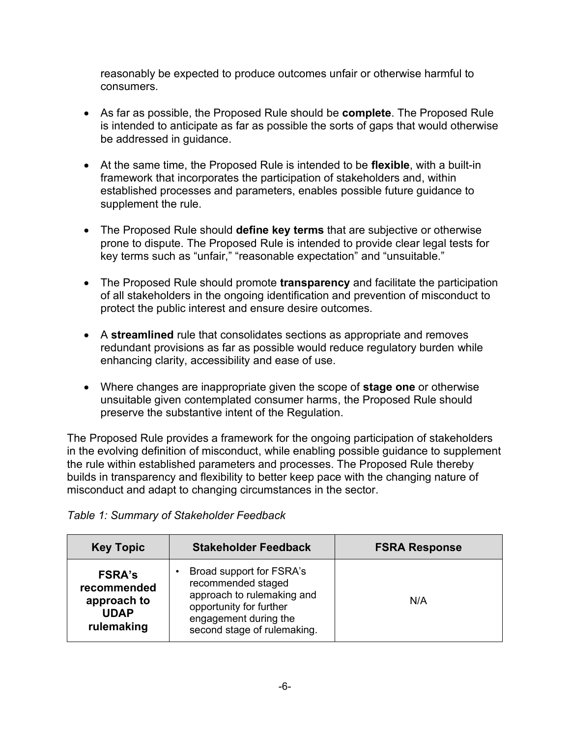reasonably be expected to produce outcomes unfair or otherwise harmful to consumers.

- As far as possible, the Proposed Rule should be **complete**. The Proposed Rule is intended to anticipate as far as possible the sorts of gaps that would otherwise be addressed in guidance.
- At the same time, the Proposed Rule is intended to be **flexible**, with a built-in framework that incorporates the participation of stakeholders and, within established processes and parameters, enables possible future guidance to supplement the rule.
- The Proposed Rule should **define key terms** that are subjective or otherwise prone to dispute. The Proposed Rule is intended to provide clear legal tests for key terms such as "unfair," "reasonable expectation" and "unsuitable."
- The Proposed Rule should promote **transparency** and facilitate the participation of all stakeholders in the ongoing identification and prevention of misconduct to protect the public interest and ensure desire outcomes.
- A **streamlined** rule that consolidates sections as appropriate and removes redundant provisions as far as possible would reduce regulatory burden while enhancing clarity, accessibility and ease of use.
- Where changes are inappropriate given the scope of **stage one** or otherwise unsuitable given contemplated consumer harms, the Proposed Rule should preserve the substantive intent of the Regulation.

The Proposed Rule provides a framework for the ongoing participation of stakeholders in the evolving definition of misconduct, while enabling possible guidance to supplement the rule within established parameters and processes. The Proposed Rule thereby builds in transparency and flexibility to better keep pace with the changing nature of misconduct and adapt to changing circumstances in the sector.

| <b>Key Topic</b>                                                         | <b>Stakeholder Feedback</b>                                                                                                                                     | <b>FSRA Response</b> |
|--------------------------------------------------------------------------|-----------------------------------------------------------------------------------------------------------------------------------------------------------------|----------------------|
| <b>FSRA's</b><br>recommended<br>approach to<br><b>UDAP</b><br>rulemaking | Broad support for FSRA's<br>recommended staged<br>approach to rulemaking and<br>opportunity for further<br>engagement during the<br>second stage of rulemaking. | N/A                  |

## *Table 1: Summary of Stakeholder Feedback*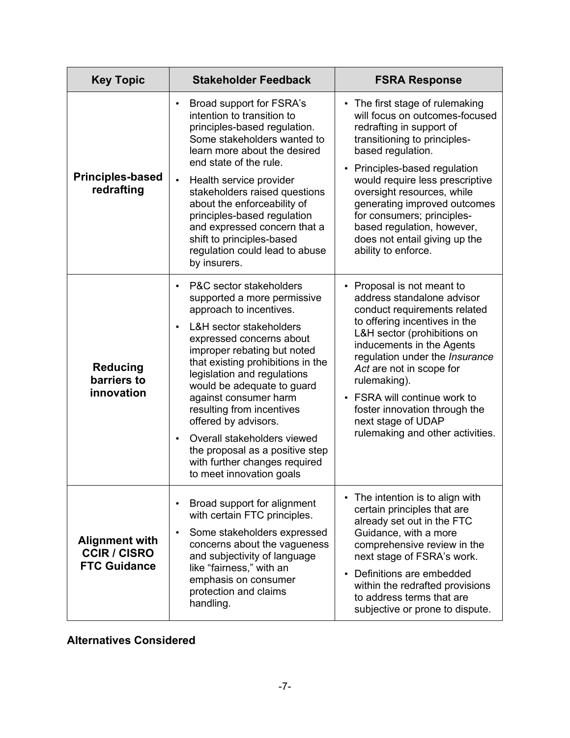| <b>Key Topic</b>                                                    | <b>Stakeholder Feedback</b>                                                                                                                                                                                                                                                                                                                                                                                                                                                                                    | <b>FSRA Response</b>                                                                                                                                                                                                                                                                                                                                                                                     |  |  |
|---------------------------------------------------------------------|----------------------------------------------------------------------------------------------------------------------------------------------------------------------------------------------------------------------------------------------------------------------------------------------------------------------------------------------------------------------------------------------------------------------------------------------------------------------------------------------------------------|----------------------------------------------------------------------------------------------------------------------------------------------------------------------------------------------------------------------------------------------------------------------------------------------------------------------------------------------------------------------------------------------------------|--|--|
| <b>Principles-based</b><br>redrafting                               | Broad support for FSRA's<br>intention to transition to<br>principles-based regulation.<br>Some stakeholders wanted to<br>learn more about the desired<br>end state of the rule.<br>Health service provider<br>$\bullet$<br>stakeholders raised questions<br>about the enforceability of<br>principles-based regulation<br>and expressed concern that a<br>shift to principles-based<br>regulation could lead to abuse<br>by insurers.                                                                          | • The first stage of rulemaking<br>will focus on outcomes-focused<br>redrafting in support of<br>transitioning to principles-<br>based regulation.<br>• Principles-based regulation<br>would require less prescriptive<br>oversight resources, while<br>generating improved outcomes<br>for consumers; principles-<br>based regulation, however,<br>does not entail giving up the<br>ability to enforce. |  |  |
| <b>Reducing</b><br>barriers to<br>innovation                        | P&C sector stakeholders<br>$\bullet$<br>supported a more permissive<br>approach to incentives.<br><b>L&amp;H</b> sector stakeholders<br>expressed concerns about<br>improper rebating but noted<br>that existing prohibitions in the<br>legislation and regulations<br>would be adequate to guard<br>against consumer harm<br>resulting from incentives<br>offered by advisors.<br>Overall stakeholders viewed<br>the proposal as a positive step<br>with further changes required<br>to meet innovation goals | • Proposal is not meant to<br>address standalone advisor<br>conduct requirements related<br>to offering incentives in the<br>L&H sector (prohibitions on<br>inducements in the Agents<br>regulation under the Insurance<br>Act are not in scope for<br>rulemaking).<br>• FSRA will continue work to<br>foster innovation through the<br>next stage of UDAP<br>rulemaking and other activities.           |  |  |
| <b>Alignment with</b><br><b>CCIR / CISRO</b><br><b>FTC Guidance</b> | Broad support for alignment<br>with certain FTC principles.<br>Some stakeholders expressed<br>concerns about the vagueness<br>and subjectivity of language<br>like "fairness," with an<br>emphasis on consumer<br>protection and claims<br>handling.                                                                                                                                                                                                                                                           | The intention is to align with<br>certain principles that are<br>already set out in the FTC<br>Guidance, with a more<br>comprehensive review in the<br>next stage of FSRA's work.<br>• Definitions are embedded<br>within the redrafted provisions<br>to address terms that are<br>subjective or prone to dispute.                                                                                       |  |  |

# **Alternatives Considered**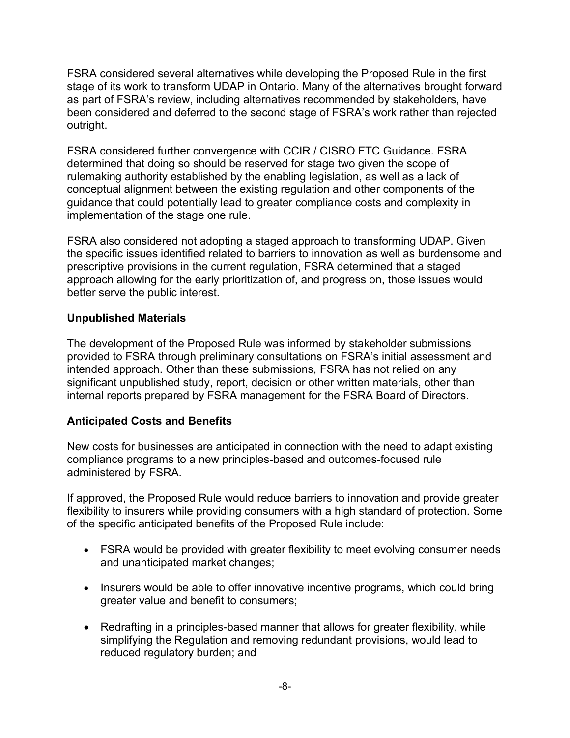FSRA considered several alternatives while developing the Proposed Rule in the first stage of its work to transform UDAP in Ontario. Many of the alternatives brought forward as part of FSRA's review, including alternatives recommended by stakeholders, have been considered and deferred to the second stage of FSRA's work rather than rejected outright.

FSRA considered further convergence with CCIR / CISRO FTC Guidance. FSRA determined that doing so should be reserved for stage two given the scope of rulemaking authority established by the enabling legislation, as well as a lack of conceptual alignment between the existing regulation and other components of the guidance that could potentially lead to greater compliance costs and complexity in implementation of the stage one rule.

FSRA also considered not adopting a staged approach to transforming UDAP. Given the specific issues identified related to barriers to innovation as well as burdensome and prescriptive provisions in the current regulation, FSRA determined that a staged approach allowing for the early prioritization of, and progress on, those issues would better serve the public interest.

# **Unpublished Materials**

The development of the Proposed Rule was informed by stakeholder submissions provided to FSRA through preliminary consultations on FSRA's initial assessment and intended approach. Other than these submissions, FSRA has not relied on any significant unpublished study, report, decision or other written materials, other than internal reports prepared by FSRA management for the FSRA Board of Directors.

# **Anticipated Costs and Benefits**

New costs for businesses are anticipated in connection with the need to adapt existing compliance programs to a new principles-based and outcomes-focused rule administered by FSRA.

If approved, the Proposed Rule would reduce barriers to innovation and provide greater flexibility to insurers while providing consumers with a high standard of protection. Some of the specific anticipated benefits of the Proposed Rule include:

- FSRA would be provided with greater flexibility to meet evolving consumer needs and unanticipated market changes;
- Insurers would be able to offer innovative incentive programs, which could bring greater value and benefit to consumers;
- Redrafting in a principles-based manner that allows for greater flexibility, while simplifying the Regulation and removing redundant provisions, would lead to reduced regulatory burden; and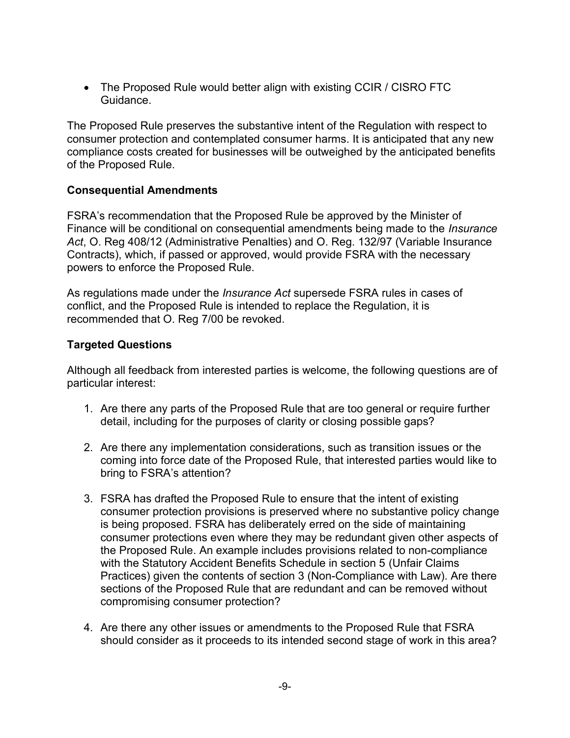• The Proposed Rule would better align with existing CCIR / CISRO FTC Guidance.

The Proposed Rule preserves the substantive intent of the Regulation with respect to consumer protection and contemplated consumer harms. It is anticipated that any new compliance costs created for businesses will be outweighed by the anticipated benefits of the Proposed Rule.

## **Consequential Amendments**

FSRA's recommendation that the Proposed Rule be approved by the Minister of Finance will be conditional on consequential amendments being made to the *Insurance Act*, O. Reg 408/12 (Administrative Penalties) and O. Reg. 132/97 (Variable Insurance Contracts), which, if passed or approved, would provide FSRA with the necessary powers to enforce the Proposed Rule.

As regulations made under the *Insurance Act* supersede FSRA rules in cases of conflict, and the Proposed Rule is intended to replace the Regulation, it is recommended that O. Reg 7/00 be revoked.

## **Targeted Questions**

Although all feedback from interested parties is welcome, the following questions are of particular interest:

- 1. Are there any parts of the Proposed Rule that are too general or require further detail, including for the purposes of clarity or closing possible gaps?
- 2. Are there any implementation considerations, such as transition issues or the coming into force date of the Proposed Rule, that interested parties would like to bring to FSRA's attention?
- 3. FSRA has drafted the Proposed Rule to ensure that the intent of existing consumer protection provisions is preserved where no substantive policy change is being proposed. FSRA has deliberately erred on the side of maintaining consumer protections even where they may be redundant given other aspects of the Proposed Rule. An example includes provisions related to non-compliance with the Statutory Accident Benefits Schedule in section 5 (Unfair Claims Practices) given the contents of section 3 (Non-Compliance with Law). Are there sections of the Proposed Rule that are redundant and can be removed without compromising consumer protection?
- 4. Are there any other issues or amendments to the Proposed Rule that FSRA should consider as it proceeds to its intended second stage of work in this area?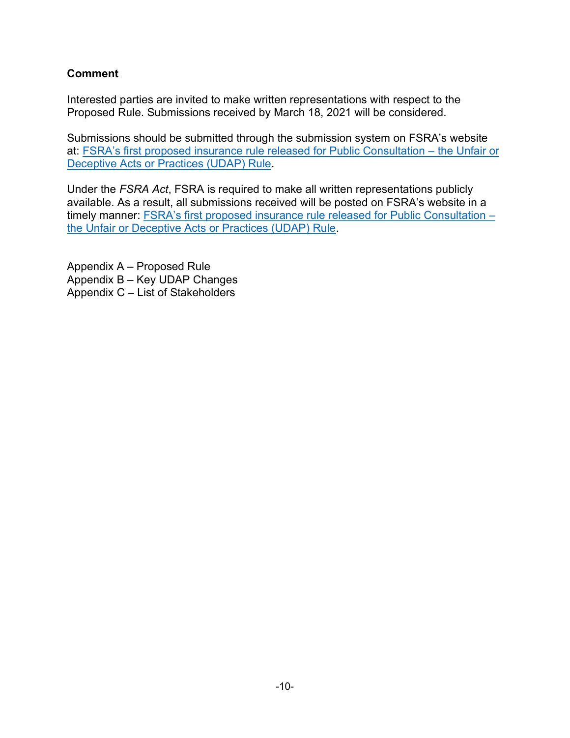# **Comment**

Interested parties are invited to make written representations with respect to the Proposed Rule. Submissions received by March 18, 2021 will be considered.

Submissions should be submitted through the submission system on FSRA's website [at: FSRA's first proposed insurance rule released for Public Consultation –](https://www.fsrao.ca/engagement-and-consultations/fsras-first-proposed-insurance-rule-released-public-consultation-unfair-or-deceptive-acts-or-practices-udap-rule) the Unfair or Deceptive Acts or Practices (UDAP) Rule.

Under the *FSRA Act*, FSRA is required to make all written representations publicly available. As a result, all submissions received will be posted on FSRA's website in a [timely manner: FSRA's first proposed insurance rule released for Public Consultation –](https://www.fsrao.ca/engagement-and-consultations/fsras-first-proposed-insurance-rule-released-public-consultation-unfair-or-deceptive-acts-or-practices-udap-rule) the Unfair or Deceptive Acts or Practices (UDAP) Rule.

Appendix A – Proposed Rule Appendix B – Key UDAP Changes Appendix C – List of Stakeholders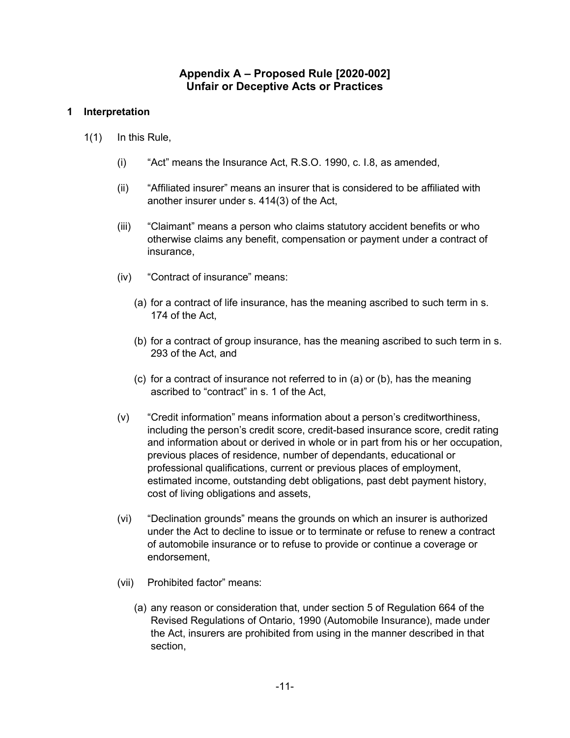## **Appendix A – Proposed Rule [2020-002] Unfair or Deceptive Acts or Practices**

### **1 Interpretation**

- 1(1) In this Rule,
	- (i) "Act" means the Insurance Act, R.S.O. 1990, c. I.8, as amended,
	- (ii) "Affiliated insurer" means an insurer that is considered to be affiliated with another insurer under s. 414(3) of the Act,
	- (iii) "Claimant" means a person who claims statutory accident benefits or who otherwise claims any benefit, compensation or payment under a contract of insurance,
	- (iv) "Contract of insurance" means:
		- (a) for a contract of life insurance, has the meaning ascribed to such term in s. 174 of the Act,
		- (b) for a contract of group insurance, has the meaning ascribed to such term in s. 293 of the Act, and
		- (c) for a contract of insurance not referred to in (a) or (b), has the meaning ascribed to "contract" in s. 1 of the Act,
	- (v) "Credit information" means information about a person's creditworthiness, including the person's credit score, credit-based insurance score, credit rating and information about or derived in whole or in part from his or her occupation, previous places of residence, number of dependants, educational or professional qualifications, current or previous places of employment, estimated income, outstanding debt obligations, past debt payment history, cost of living obligations and assets,
	- (vi) "Declination grounds" means the grounds on which an insurer is authorized under the Act to decline to issue or to terminate or refuse to renew a contract of automobile insurance or to refuse to provide or continue a coverage or endorsement,
	- (vii) Prohibited factor" means:
		- (a) any reason or consideration that, under section 5 of Regulation 664 of the Revised Regulations of Ontario, 1990 (Automobile Insurance), made under the Act, insurers are prohibited from using in the manner described in that section,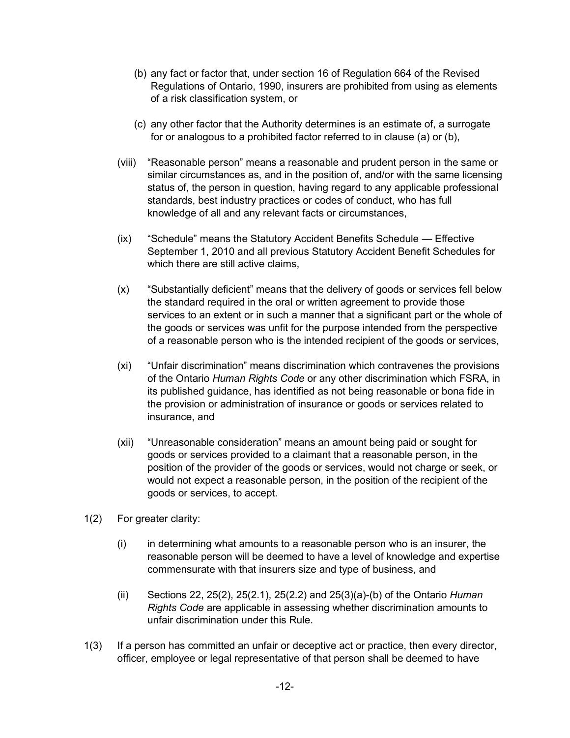- (b) any fact or factor that, under section 16 of Regulation 664 of the Revised Regulations of Ontario, 1990, insurers are prohibited from using as elements of a risk classification system, or
- (c) any other factor that the Authority determines is an estimate of, a surrogate for or analogous to a prohibited factor referred to in clause (a) or (b),
- (viii) "Reasonable person" means a reasonable and prudent person in the same or similar circumstances as, and in the position of, and/or with the same licensing status of, the person in question, having regard to any applicable professional standards, best industry practices or codes of conduct, who has full knowledge of all and any relevant facts or circumstances,
- (ix) "Schedule" means the Statutory Accident Benefits Schedule Effective September 1, 2010 and all previous Statutory Accident Benefit Schedules for which there are still active claims,
- (x) "Substantially deficient" means that the delivery of goods or services fell below the standard required in the oral or written agreement to provide those services to an extent or in such a manner that a significant part or the whole of the goods or services was unfit for the purpose intended from the perspective of a reasonable person who is the intended recipient of the goods or services,
- (xi) "Unfair discrimination" means discrimination which contravenes the provisions of the Ontario *Human Rights Code* or any other discrimination which FSRA, in its published guidance, has identified as not being reasonable or bona fide in the provision or administration of insurance or goods or services related to insurance, and
- (xii) "Unreasonable consideration" means an amount being paid or sought for goods or services provided to a claimant that a reasonable person, in the position of the provider of the goods or services, would not charge or seek, or would not expect a reasonable person, in the position of the recipient of the goods or services, to accept.
- 1(2) For greater clarity:
	- $(i)$  in determining what amounts to a reasonable person who is an insurer, the reasonable person will be deemed to have a level of knowledge and expertise commensurate with that insurers size and type of business, and
	- (ii) Sections 22, 25(2), 25(2.1), 25(2.2) and 25(3)(a)-(b) of the Ontario *Human Rights Code* are applicable in assessing whether discrimination amounts to unfair discrimination under this Rule.
- 1(3) If a person has committed an unfair or deceptive act or practice, then every director, officer, employee or legal representative of that person shall be deemed to have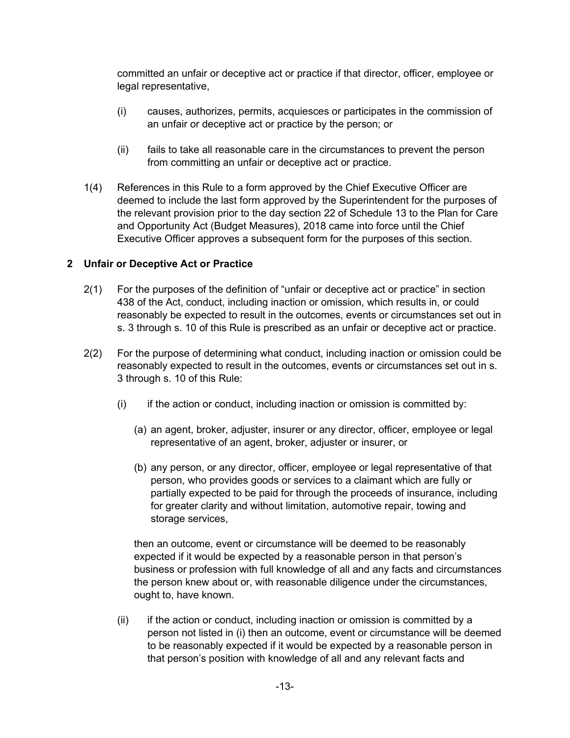committed an unfair or deceptive act or practice if that director, officer, employee or legal representative,

- (i) causes, authorizes, permits, acquiesces or participates in the commission of an unfair or deceptive act or practice by the person; or
- (ii) fails to take all reasonable care in the circumstances to prevent the person from committing an unfair or deceptive act or practice.
- 1(4) References in this Rule to a form approved by the Chief Executive Officer are deemed to include the last form approved by the Superintendent for the purposes of the relevant provision prior to the day section 22 of Schedule 13 to the Plan for Care and Opportunity Act (Budget Measures), 2018 came into force until the Chief Executive Officer approves a subsequent form for the purposes of this section.

### **2 Unfair or Deceptive Act or Practice**

- 2(1) For the purposes of the definition of "unfair or deceptive act or practice" in section 438 of the Act, conduct, including inaction or omission, which results in, or could reasonably be expected to result in the outcomes, events or circumstances set out in s. 3 through s. 10 of this Rule is prescribed as an unfair or deceptive act or practice.
- 2(2) For the purpose of determining what conduct, including inaction or omission could be reasonably expected to result in the outcomes, events or circumstances set out in s. 3 through s. 10 of this Rule:
	- $(i)$  if the action or conduct, including inaction or omission is committed by:
		- (a) an agent, broker, adjuster, insurer or any director, officer, employee or legal representative of an agent, broker, adjuster or insurer, or
		- (b) any person, or any director, officer, employee or legal representative of that person, who provides goods or services to a claimant which are fully or partially expected to be paid for through the proceeds of insurance, including for greater clarity and without limitation, automotive repair, towing and storage services,

then an outcome, event or circumstance will be deemed to be reasonably expected if it would be expected by a reasonable person in that person's business or profession with full knowledge of all and any facts and circumstances the person knew about or, with reasonable diligence under the circumstances, ought to, have known.

(ii) if the action or conduct, including inaction or omission is committed by a person not listed in (i) then an outcome, event or circumstance will be deemed to be reasonably expected if it would be expected by a reasonable person in that person's position with knowledge of all and any relevant facts and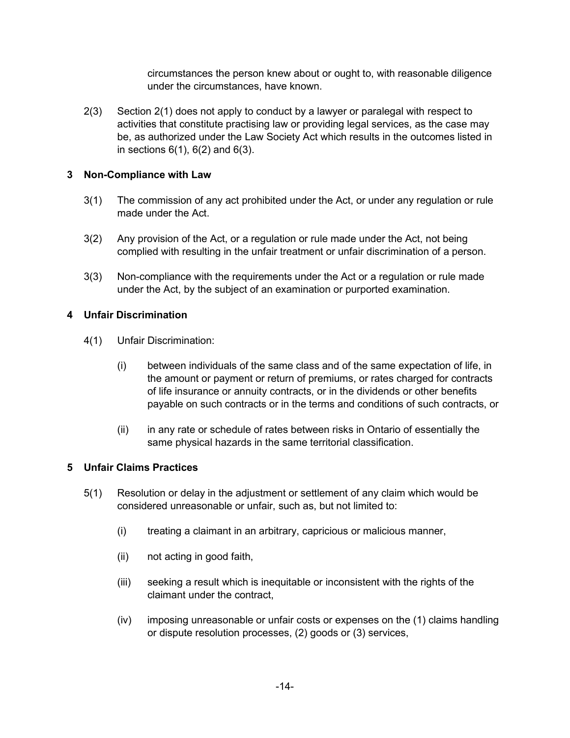circumstances the person knew about or ought to, with reasonable diligence under the circumstances, have known.

2(3) Section 2(1) does not apply to conduct by a lawyer or paralegal with respect to activities that constitute practising law or providing legal services, as the case may be, as authorized under the Law Society Act which results in the outcomes listed in in sections  $6(1)$ ,  $6(2)$  and  $6(3)$ .

### **3 Non-Compliance with Law**

- 3(1) The commission of any act prohibited under the Act, or under any regulation or rule made under the Act.
- 3(2) Any provision of the Act, or a regulation or rule made under the Act, not being complied with resulting in the unfair treatment or unfair discrimination of a person.
- 3(3) Non-compliance with the requirements under the Act or a regulation or rule made under the Act, by the subject of an examination or purported examination.

### **4 Unfair Discrimination**

- 4(1) Unfair Discrimination:
	- (i) between individuals of the same class and of the same expectation of life, in the amount or payment or return of premiums, or rates charged for contracts of life insurance or annuity contracts, or in the dividends or other benefits payable on such contracts or in the terms and conditions of such contracts, or
	- (ii) in any rate or schedule of rates between risks in Ontario of essentially the same physical hazards in the same territorial classification.

### **5 Unfair Claims Practices**

- 5(1) Resolution or delay in the adjustment or settlement of any claim which would be considered unreasonable or unfair, such as, but not limited to:
	- (i) treating a claimant in an arbitrary, capricious or malicious manner,
	- (ii) not acting in good faith,
	- (iii) seeking a result which is inequitable or inconsistent with the rights of the claimant under the contract,
	- (iv) imposing unreasonable or unfair costs or expenses on the (1) claims handling or dispute resolution processes, (2) goods or (3) services,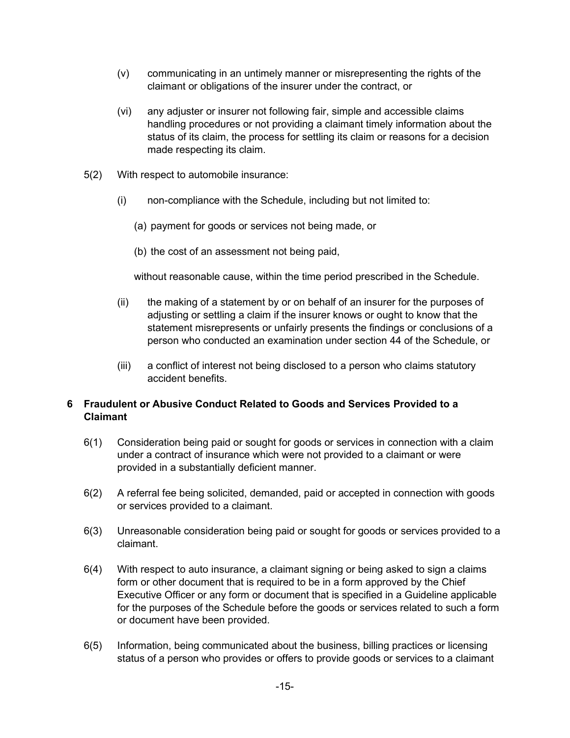- (v) communicating in an untimely manner or misrepresenting the rights of the claimant or obligations of the insurer under the contract, or
- (vi) any adjuster or insurer not following fair, simple and accessible claims handling procedures or not providing a claimant timely information about the status of its claim, the process for settling its claim or reasons for a decision made respecting its claim.
- 5(2) With respect to automobile insurance:
	- (i) non-compliance with the Schedule, including but not limited to:
		- (a) payment for goods or services not being made, or
		- (b) the cost of an assessment not being paid,

without reasonable cause, within the time period prescribed in the Schedule.

- (ii) the making of a statement by or on behalf of an insurer for the purposes of adjusting or settling a claim if the insurer knows or ought to know that the statement misrepresents or unfairly presents the findings or conclusions of a person who conducted an examination under section 44 of the Schedule, or
- (iii) a conflict of interest not being disclosed to a person who claims statutory accident benefits.

### **6 Fraudulent or Abusive Conduct Related to Goods and Services Provided to a Claimant**

- 6(1) Consideration being paid or sought for goods or services in connection with a claim under a contract of insurance which were not provided to a claimant or were provided in a substantially deficient manner.
- 6(2) A referral fee being solicited, demanded, paid or accepted in connection with goods or services provided to a claimant.
- 6(3) Unreasonable consideration being paid or sought for goods or services provided to a claimant.
- 6(4) With respect to auto insurance, a claimant signing or being asked to sign a claims form or other document that is required to be in a form approved by the Chief Executive Officer or any form or document that is specified in a Guideline applicable for the purposes of the Schedule before the goods or services related to such a form or document have been provided.
- 6(5) Information, being communicated about the business, billing practices or licensing status of a person who provides or offers to provide goods or services to a claimant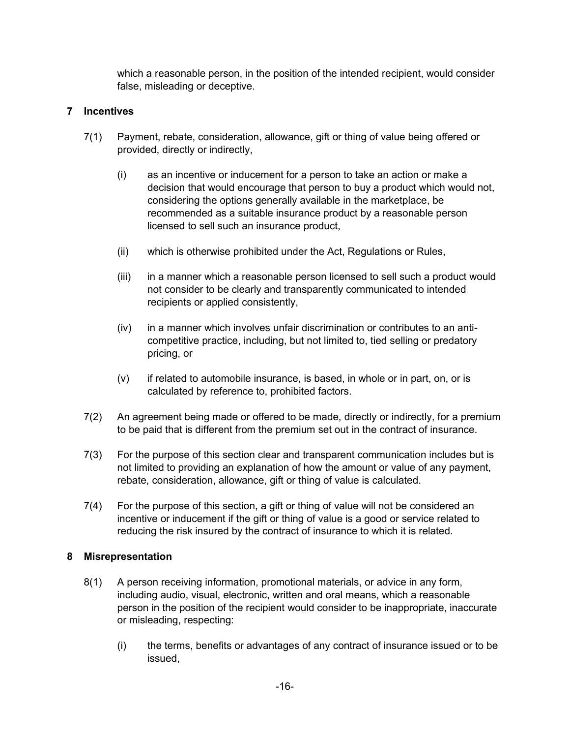which a reasonable person, in the position of the intended recipient, would consider false, misleading or deceptive.

### **7 Incentives**

- 7(1) Payment, rebate, consideration, allowance, gift or thing of value being offered or provided, directly or indirectly,
	- (i) as an incentive or inducement for a person to take an action or make a decision that would encourage that person to buy a product which would not, considering the options generally available in the marketplace, be recommended as a suitable insurance product by a reasonable person licensed to sell such an insurance product,
	- (ii) which is otherwise prohibited under the Act, Regulations or Rules,
	- (iii) in a manner which a reasonable person licensed to sell such a product would not consider to be clearly and transparently communicated to intended recipients or applied consistently,
	- (iv) in a manner which involves unfair discrimination or contributes to an anticompetitive practice, including, but not limited to, tied selling or predatory pricing, or
	- (v) if related to automobile insurance, is based, in whole or in part, on, or is calculated by reference to, prohibited factors.
- 7(2) An agreement being made or offered to be made, directly or indirectly, for a premium to be paid that is different from the premium set out in the contract of insurance.
- 7(3) For the purpose of this section clear and transparent communication includes but is not limited to providing an explanation of how the amount or value of any payment, rebate, consideration, allowance, gift or thing of value is calculated.
- 7(4) For the purpose of this section, a gift or thing of value will not be considered an incentive or inducement if the gift or thing of value is a good or service related to reducing the risk insured by the contract of insurance to which it is related.

### **8 Misrepresentation**

- 8(1) A person receiving information, promotional materials, or advice in any form, including audio, visual, electronic, written and oral means, which a reasonable person in the position of the recipient would consider to be inappropriate, inaccurate or misleading, respecting:
	- (i) the terms, benefits or advantages of any contract of insurance issued or to be issued,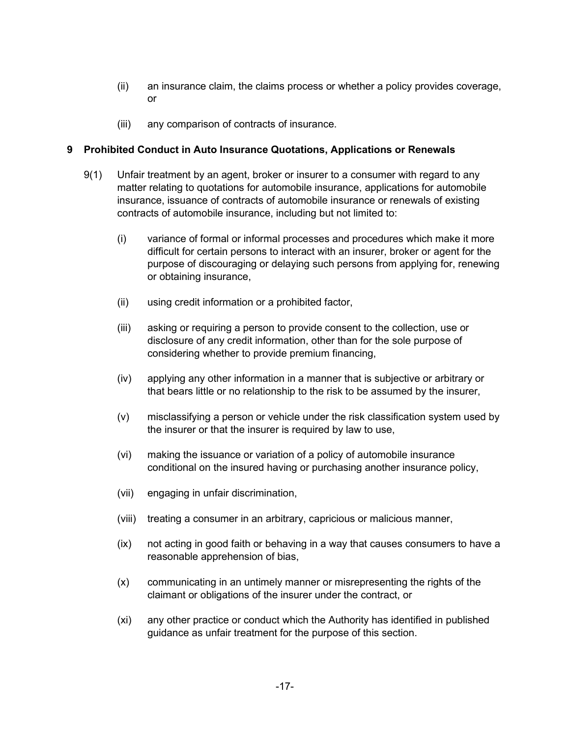- (ii) an insurance claim, the claims process or whether a policy provides coverage, or
- (iii) any comparison of contracts of insurance.

### **9 Prohibited Conduct in Auto Insurance Quotations, Applications or Renewals**

- 9(1) Unfair treatment by an agent, broker or insurer to a consumer with regard to any matter relating to quotations for automobile insurance, applications for automobile insurance, issuance of contracts of automobile insurance or renewals of existing contracts of automobile insurance, including but not limited to:
	- (i) variance of formal or informal processes and procedures which make it more difficult for certain persons to interact with an insurer, broker or agent for the purpose of discouraging or delaying such persons from applying for, renewing or obtaining insurance,
	- (ii) using credit information or a prohibited factor,
	- (iii) asking or requiring a person to provide consent to the collection, use or disclosure of any credit information, other than for the sole purpose of considering whether to provide premium financing,
	- (iv) applying any other information in a manner that is subjective or arbitrary or that bears little or no relationship to the risk to be assumed by the insurer,
	- (v) misclassifying a person or vehicle under the risk classification system used by the insurer or that the insurer is required by law to use,
	- (vi) making the issuance or variation of a policy of automobile insurance conditional on the insured having or purchasing another insurance policy,
	- (vii) engaging in unfair discrimination,
	- (viii) treating a consumer in an arbitrary, capricious or malicious manner,
	- (ix) not acting in good faith or behaving in a way that causes consumers to have a reasonable apprehension of bias,
	- (x) communicating in an untimely manner or misrepresenting the rights of the claimant or obligations of the insurer under the contract, or
	- (xi) any other practice or conduct which the Authority has identified in published guidance as unfair treatment for the purpose of this section.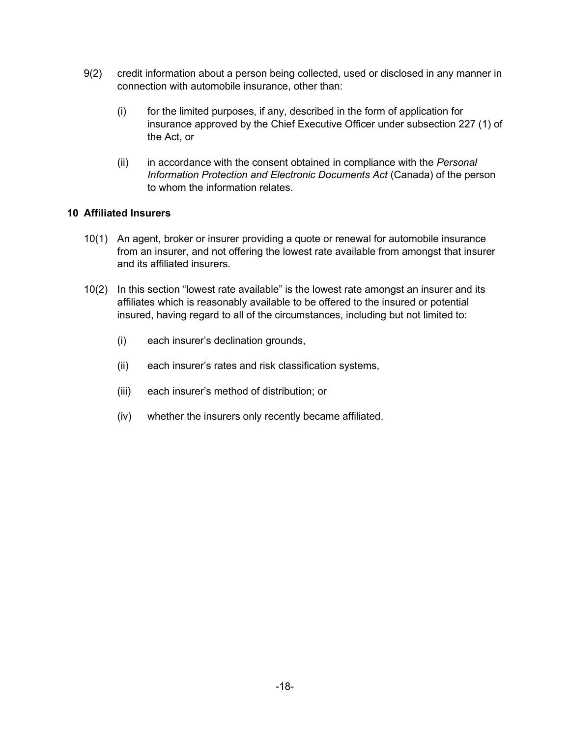- 9(2) credit information about a person being collected, used or disclosed in any manner in connection with automobile insurance, other than:
	- (i) for the limited purposes, if any, described in the form of application for insurance approved by the Chief Executive Officer under subsection 227 (1) of the Act, or
	- (ii) in accordance with the consent obtained in compliance with the *Personal Information Protection and Electronic Documents Act* (Canada) of the person to whom the information relates.

### **10 Affiliated Insurers**

- 10(1) An agent, broker or insurer providing a quote or renewal for automobile insurance from an insurer, and not offering the lowest rate available from amongst that insurer and its affiliated insurers.
- 10(2) In this section "lowest rate available" is the lowest rate amongst an insurer and its affiliates which is reasonably available to be offered to the insured or potential insured, having regard to all of the circumstances, including but not limited to:
	- (i) each insurer's declination grounds,
	- (ii) each insurer's rates and risk classification systems,
	- (iii) each insurer's method of distribution; or
	- (iv) whether the insurers only recently became affiliated.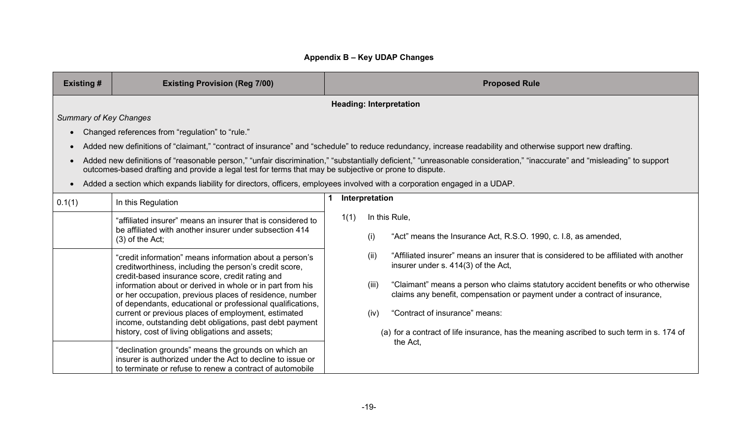# **Appendix B – Key UDAP Changes**

| <b>Existing #</b><br><b>Existing Provision (Reg 7/00)</b> |                                                                                                                                                                                                                                                                                                                                                                                                                                                                                                                                                                                                                                                      |      |                       | <b>Proposed Rule</b>                                                                                                                                                                                                                                                                                                                                                                                                                       |
|-----------------------------------------------------------|------------------------------------------------------------------------------------------------------------------------------------------------------------------------------------------------------------------------------------------------------------------------------------------------------------------------------------------------------------------------------------------------------------------------------------------------------------------------------------------------------------------------------------------------------------------------------------------------------------------------------------------------------|------|-----------------------|--------------------------------------------------------------------------------------------------------------------------------------------------------------------------------------------------------------------------------------------------------------------------------------------------------------------------------------------------------------------------------------------------------------------------------------------|
|                                                           |                                                                                                                                                                                                                                                                                                                                                                                                                                                                                                                                                                                                                                                      |      |                       | <b>Heading: Interpretation</b>                                                                                                                                                                                                                                                                                                                                                                                                             |
| <b>Summary of Key Changes</b>                             |                                                                                                                                                                                                                                                                                                                                                                                                                                                                                                                                                                                                                                                      |      |                       |                                                                                                                                                                                                                                                                                                                                                                                                                                            |
| $\bullet$                                                 | Changed references from "regulation" to "rule."                                                                                                                                                                                                                                                                                                                                                                                                                                                                                                                                                                                                      |      |                       |                                                                                                                                                                                                                                                                                                                                                                                                                                            |
| $\bullet$                                                 |                                                                                                                                                                                                                                                                                                                                                                                                                                                                                                                                                                                                                                                      |      |                       | Added new definitions of "claimant," "contract of insurance" and "schedule" to reduce redundancy, increase readability and otherwise support new drafting.                                                                                                                                                                                                                                                                                 |
| $\bullet$                                                 | outcomes-based drafting and provide a legal test for terms that may be subjective or prone to dispute.                                                                                                                                                                                                                                                                                                                                                                                                                                                                                                                                               |      |                       | Added new definitions of "reasonable person," "unfair discrimination," "substantially deficient," "unreasonable consideration," "inaccurate" and "misleading" to support                                                                                                                                                                                                                                                                   |
| $\bullet$                                                 | Added a section which expands liability for directors, officers, employees involved with a corporation engaged in a UDAP.                                                                                                                                                                                                                                                                                                                                                                                                                                                                                                                            |      |                       |                                                                                                                                                                                                                                                                                                                                                                                                                                            |
| 0.1(1)                                                    | In this Regulation                                                                                                                                                                                                                                                                                                                                                                                                                                                                                                                                                                                                                                   |      | Interpretation        |                                                                                                                                                                                                                                                                                                                                                                                                                                            |
|                                                           | "affiliated insurer" means an insurer that is considered to<br>be affiliated with another insurer under subsection 414<br>$(3)$ of the Act;                                                                                                                                                                                                                                                                                                                                                                                                                                                                                                          | 1(1) | (i)                   | In this Rule,<br>"Act" means the Insurance Act, R.S.O. 1990, c. I.8, as amended,                                                                                                                                                                                                                                                                                                                                                           |
|                                                           | "credit information" means information about a person's<br>creditworthiness, including the person's credit score,<br>credit-based insurance score, credit rating and<br>information about or derived in whole or in part from his<br>or her occupation, previous places of residence, number<br>of dependants, educational or professional qualifications,<br>current or previous places of employment, estimated<br>income, outstanding debt obligations, past debt payment<br>history, cost of living obligations and assets;<br>"declination grounds" means the grounds on which an<br>insurer is authorized under the Act to decline to issue or |      | (ii)<br>(iii)<br>(iv) | "Affiliated insurer" means an insurer that is considered to be affiliated with another<br>insurer under s. 414(3) of the Act,<br>"Claimant" means a person who claims statutory accident benefits or who otherwise<br>claims any benefit, compensation or payment under a contract of insurance,<br>"Contract of insurance" means:<br>(a) for a contract of life insurance, has the meaning ascribed to such term in s. 174 of<br>the Act, |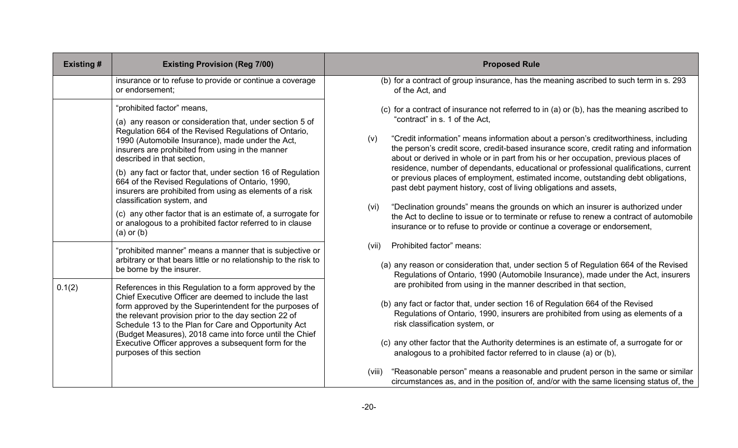| <b>Existing#</b> | <b>Existing Provision (Reg 7/00)</b>                                                                                                                                                                                                                                                                                                                                                                                                                                                                                                                                                                                                              | <b>Proposed Rule</b>                                                                                                                                                                                                                                                                                                                                                                                                                                                                                                                                                                                                                                                                                                                                                                                                                                                                                                            |
|------------------|---------------------------------------------------------------------------------------------------------------------------------------------------------------------------------------------------------------------------------------------------------------------------------------------------------------------------------------------------------------------------------------------------------------------------------------------------------------------------------------------------------------------------------------------------------------------------------------------------------------------------------------------------|---------------------------------------------------------------------------------------------------------------------------------------------------------------------------------------------------------------------------------------------------------------------------------------------------------------------------------------------------------------------------------------------------------------------------------------------------------------------------------------------------------------------------------------------------------------------------------------------------------------------------------------------------------------------------------------------------------------------------------------------------------------------------------------------------------------------------------------------------------------------------------------------------------------------------------|
|                  | insurance or to refuse to provide or continue a coverage<br>or endorsement;                                                                                                                                                                                                                                                                                                                                                                                                                                                                                                                                                                       | (b) for a contract of group insurance, has the meaning ascribed to such term in s. 293<br>of the Act, and                                                                                                                                                                                                                                                                                                                                                                                                                                                                                                                                                                                                                                                                                                                                                                                                                       |
|                  | "prohibited factor" means,<br>(a) any reason or consideration that, under section 5 of<br>Regulation 664 of the Revised Regulations of Ontario,<br>1990 (Automobile Insurance), made under the Act,<br>insurers are prohibited from using in the manner<br>described in that section,<br>(b) any fact or factor that, under section 16 of Regulation<br>664 of the Revised Regulations of Ontario, 1990,<br>insurers are prohibited from using as elements of a risk<br>classification system, and<br>(c) any other factor that is an estimate of, a surrogate for<br>or analogous to a prohibited factor referred to in clause<br>$(a)$ or $(b)$ | (c) for a contract of insurance not referred to in (a) or (b), has the meaning ascribed to<br>"contract" in s. 1 of the Act,<br>"Credit information" means information about a person's creditworthiness, including<br>(v)<br>the person's credit score, credit-based insurance score, credit rating and information<br>about or derived in whole or in part from his or her occupation, previous places of<br>residence, number of dependants, educational or professional qualifications, current<br>or previous places of employment, estimated income, outstanding debt obligations,<br>past debt payment history, cost of living obligations and assets,<br>"Declination grounds" means the grounds on which an insurer is authorized under<br>(vi)<br>the Act to decline to issue or to terminate or refuse to renew a contract of automobile<br>insurance or to refuse to provide or continue a coverage or endorsement, |
|                  | "prohibited manner" means a manner that is subjective or<br>arbitrary or that bears little or no relationship to the risk to<br>be borne by the insurer.                                                                                                                                                                                                                                                                                                                                                                                                                                                                                          | Prohibited factor" means:<br>(vii)<br>(a) any reason or consideration that, under section 5 of Regulation 664 of the Revised<br>Regulations of Ontario, 1990 (Automobile Insurance), made under the Act, insurers                                                                                                                                                                                                                                                                                                                                                                                                                                                                                                                                                                                                                                                                                                               |
| 0.1(2)           | References in this Regulation to a form approved by the<br>Chief Executive Officer are deemed to include the last<br>form approved by the Superintendent for the purposes of<br>the relevant provision prior to the day section 22 of<br>Schedule 13 to the Plan for Care and Opportunity Act<br>(Budget Measures), 2018 came into force until the Chief<br>Executive Officer approves a subsequent form for the<br>purposes of this section                                                                                                                                                                                                      | are prohibited from using in the manner described in that section,<br>(b) any fact or factor that, under section 16 of Regulation 664 of the Revised<br>Regulations of Ontario, 1990, insurers are prohibited from using as elements of a<br>risk classification system, or<br>(c) any other factor that the Authority determines is an estimate of, a surrogate for or<br>analogous to a prohibited factor referred to in clause (a) or (b),                                                                                                                                                                                                                                                                                                                                                                                                                                                                                   |
|                  |                                                                                                                                                                                                                                                                                                                                                                                                                                                                                                                                                                                                                                                   | "Reasonable person" means a reasonable and prudent person in the same or similar<br>(viii)<br>circumstances as, and in the position of, and/or with the same licensing status of, the                                                                                                                                                                                                                                                                                                                                                                                                                                                                                                                                                                                                                                                                                                                                           |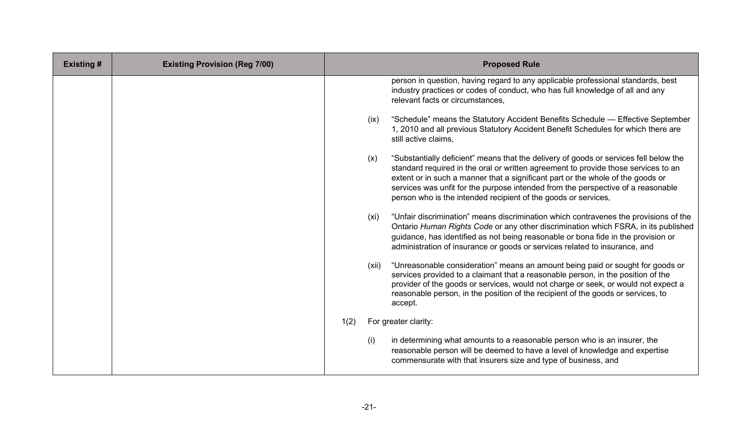| <b>Existing#</b> | <b>Existing Provision (Reg 7/00)</b> |      |       | <b>Proposed Rule</b>                                                                                                                                                                                                                                                                                                                                                                                                 |
|------------------|--------------------------------------|------|-------|----------------------------------------------------------------------------------------------------------------------------------------------------------------------------------------------------------------------------------------------------------------------------------------------------------------------------------------------------------------------------------------------------------------------|
|                  |                                      |      |       | person in question, having regard to any applicable professional standards, best<br>industry practices or codes of conduct, who has full knowledge of all and any<br>relevant facts or circumstances,                                                                                                                                                                                                                |
|                  |                                      |      | (ix)  | "Schedule" means the Statutory Accident Benefits Schedule — Effective September<br>1, 2010 and all previous Statutory Accident Benefit Schedules for which there are<br>still active claims,                                                                                                                                                                                                                         |
|                  |                                      |      | (x)   | "Substantially deficient" means that the delivery of goods or services fell below the<br>standard required in the oral or written agreement to provide those services to an<br>extent or in such a manner that a significant part or the whole of the goods or<br>services was unfit for the purpose intended from the perspective of a reasonable<br>person who is the intended recipient of the goods or services, |
|                  |                                      |      | (xi)  | "Unfair discrimination" means discrimination which contravenes the provisions of the<br>Ontario Human Rights Code or any other discrimination which FSRA, in its published<br>guidance, has identified as not being reasonable or bona fide in the provision or<br>administration of insurance or goods or services related to insurance, and                                                                        |
|                  |                                      |      | (xii) | "Unreasonable consideration" means an amount being paid or sought for goods or<br>services provided to a claimant that a reasonable person, in the position of the<br>provider of the goods or services, would not charge or seek, or would not expect a<br>reasonable person, in the position of the recipient of the goods or services, to<br>accept.                                                              |
|                  |                                      | 1(2) |       | For greater clarity:                                                                                                                                                                                                                                                                                                                                                                                                 |
|                  |                                      |      | (i)   | in determining what amounts to a reasonable person who is an insurer, the<br>reasonable person will be deemed to have a level of knowledge and expertise<br>commensurate with that insurers size and type of business, and                                                                                                                                                                                           |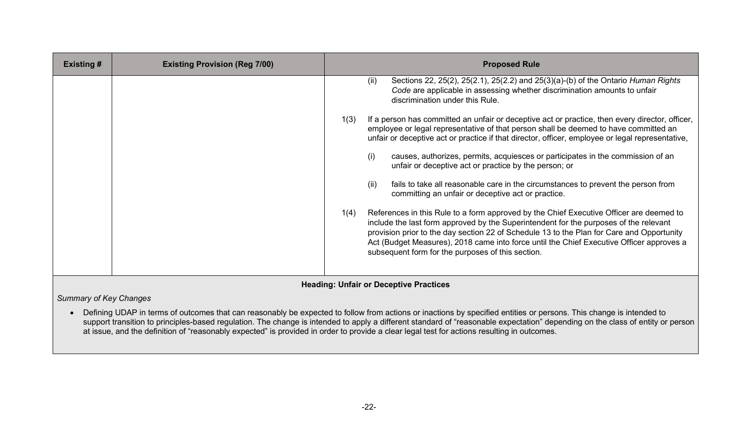| <b>Existing #</b> | <b>Existing Provision (Reg 7/00)</b> |      | <b>Proposed Rule</b>                                                                                                                                                                                                                                                                                                                                                                                                           |
|-------------------|--------------------------------------|------|--------------------------------------------------------------------------------------------------------------------------------------------------------------------------------------------------------------------------------------------------------------------------------------------------------------------------------------------------------------------------------------------------------------------------------|
|                   |                                      |      | Sections 22, 25(2), 25(2.1), 25(2.2) and 25(3)(a)-(b) of the Ontario Human Rights<br>(ii)<br>Code are applicable in assessing whether discrimination amounts to unfair<br>discrimination under this Rule.                                                                                                                                                                                                                      |
|                   |                                      | 1(3) | If a person has committed an unfair or deceptive act or practice, then every director, officer,<br>employee or legal representative of that person shall be deemed to have committed an<br>unfair or deceptive act or practice if that director, officer, employee or legal representative,                                                                                                                                    |
|                   |                                      |      | causes, authorizes, permits, acquiesces or participates in the commission of an<br>(i)<br>unfair or deceptive act or practice by the person; or                                                                                                                                                                                                                                                                                |
|                   |                                      |      | fails to take all reasonable care in the circumstances to prevent the person from<br>(ii)<br>committing an unfair or deceptive act or practice.                                                                                                                                                                                                                                                                                |
|                   |                                      | 1(4) | References in this Rule to a form approved by the Chief Executive Officer are deemed to<br>include the last form approved by the Superintendent for the purposes of the relevant<br>provision prior to the day section 22 of Schedule 13 to the Plan for Care and Opportunity<br>Act (Budget Measures), 2018 came into force until the Chief Executive Officer approves a<br>subsequent form for the purposes of this section. |

## **Heading: Unfair or Deceptive Practices**

*Summary of Key Changes*

• Defining UDAP in terms of outcomes that can reasonably be expected to follow from actions or inactions by specified entities or persons. This change is intended to support transition to principles-based regulation. The change is intended to apply a different standard of "reasonable expectation" depending on the class of entity or person at issue, and the definition of "reasonably expected" is provided in order to provide a clear legal test for actions resulting in outcomes.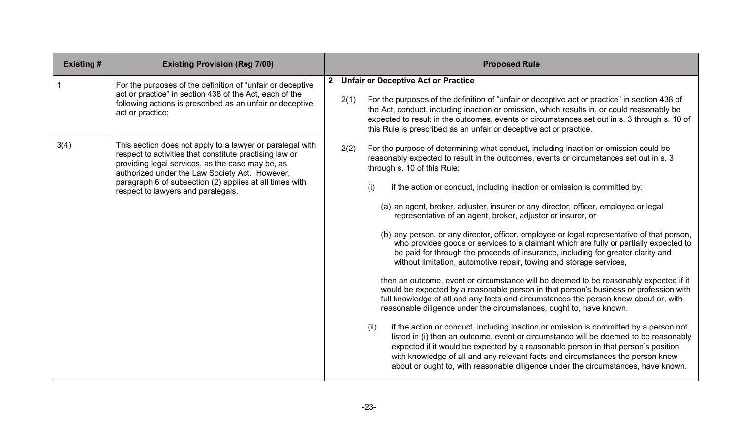| <b>Existing#</b> | <b>Existing Provision (Reg 7/00)</b>                                                                                                                                                                                                                                                                                        |              |      | <b>Proposed Rule</b>                                                                                                                                                                                                                                                                                                                                                                                                                                                                                                                                                                                                                                                                                                                                                                                                                                                                                                                                                                                                                                                                                                                                                                                                                                                                                                                                                                                                                                                                                                                                                                                            |
|------------------|-----------------------------------------------------------------------------------------------------------------------------------------------------------------------------------------------------------------------------------------------------------------------------------------------------------------------------|--------------|------|-----------------------------------------------------------------------------------------------------------------------------------------------------------------------------------------------------------------------------------------------------------------------------------------------------------------------------------------------------------------------------------------------------------------------------------------------------------------------------------------------------------------------------------------------------------------------------------------------------------------------------------------------------------------------------------------------------------------------------------------------------------------------------------------------------------------------------------------------------------------------------------------------------------------------------------------------------------------------------------------------------------------------------------------------------------------------------------------------------------------------------------------------------------------------------------------------------------------------------------------------------------------------------------------------------------------------------------------------------------------------------------------------------------------------------------------------------------------------------------------------------------------------------------------------------------------------------------------------------------------|
|                  | For the purposes of the definition of "unfair or deceptive"<br>act or practice" in section 438 of the Act, each of the<br>following actions is prescribed as an unfair or deceptive<br>act or practice:                                                                                                                     | $\mathbf{2}$ | 2(1) | <b>Unfair or Deceptive Act or Practice</b><br>For the purposes of the definition of "unfair or deceptive act or practice" in section 438 of<br>the Act, conduct, including inaction or omission, which results in, or could reasonably be<br>expected to result in the outcomes, events or circumstances set out in s. 3 through s. 10 of<br>this Rule is prescribed as an unfair or deceptive act or practice.                                                                                                                                                                                                                                                                                                                                                                                                                                                                                                                                                                                                                                                                                                                                                                                                                                                                                                                                                                                                                                                                                                                                                                                                 |
| 3(4)             | This section does not apply to a lawyer or paralegal with<br>respect to activities that constitute practising law or<br>providing legal services, as the case may be, as<br>authorized under the Law Society Act. However,<br>paragraph 6 of subsection (2) applies at all times with<br>respect to lawyers and paralegals. |              | 2(2) | For the purpose of determining what conduct, including inaction or omission could be<br>reasonably expected to result in the outcomes, events or circumstances set out in s. 3<br>through s. 10 of this Rule:<br>if the action or conduct, including inaction or omission is committed by:<br>(i)<br>(a) an agent, broker, adjuster, insurer or any director, officer, employee or legal<br>representative of an agent, broker, adjuster or insurer, or<br>(b) any person, or any director, officer, employee or legal representative of that person,<br>who provides goods or services to a claimant which are fully or partially expected to<br>be paid for through the proceeds of insurance, including for greater clarity and<br>without limitation, automotive repair, towing and storage services,<br>then an outcome, event or circumstance will be deemed to be reasonably expected if it<br>would be expected by a reasonable person in that person's business or profession with<br>full knowledge of all and any facts and circumstances the person knew about or, with<br>reasonable diligence under the circumstances, ought to, have known.<br>if the action or conduct, including inaction or omission is committed by a person not<br>(ii)<br>listed in (i) then an outcome, event or circumstance will be deemed to be reasonably<br>expected if it would be expected by a reasonable person in that person's position<br>with knowledge of all and any relevant facts and circumstances the person knew<br>about or ought to, with reasonable diligence under the circumstances, have known. |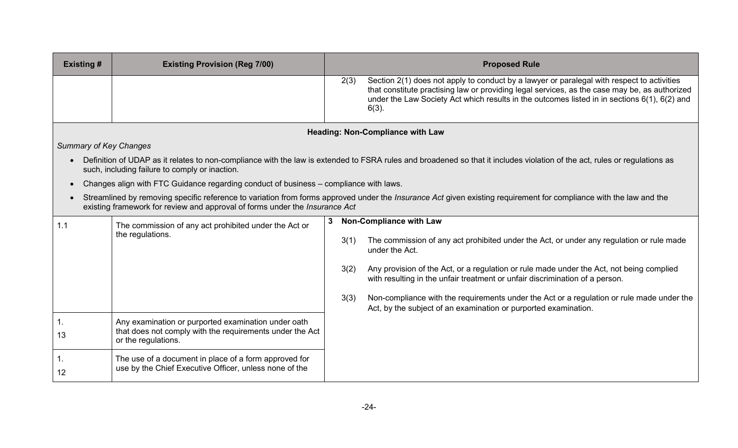| <b>Existing#</b>                                                            | <b>Existing Provision (Reg 7/00)</b>                                                                            |      | <b>Proposed Rule</b>                                                                                                                                                                                                                                                                                    |
|-----------------------------------------------------------------------------|-----------------------------------------------------------------------------------------------------------------|------|---------------------------------------------------------------------------------------------------------------------------------------------------------------------------------------------------------------------------------------------------------------------------------------------------------|
|                                                                             |                                                                                                                 | 2(3) | Section 2(1) does not apply to conduct by a lawyer or paralegal with respect to activities<br>that constitute practising law or providing legal services, as the case may be, as authorized<br>under the Law Society Act which results in the outcomes listed in in sections 6(1), 6(2) and<br>$6(3)$ . |
|                                                                             |                                                                                                                 |      | <b>Heading: Non-Compliance with Law</b>                                                                                                                                                                                                                                                                 |
| <b>Summary of Key Changes</b>                                               |                                                                                                                 |      |                                                                                                                                                                                                                                                                                                         |
|                                                                             | such, including failure to comply or inaction.                                                                  |      | Definition of UDAP as it relates to non-compliance with the law is extended to FSRA rules and broadened so that it includes violation of the act, rules or regulations as                                                                                                                               |
|                                                                             | Changes align with FTC Guidance regarding conduct of business - compliance with laws.                           |      |                                                                                                                                                                                                                                                                                                         |
| existing framework for review and approval of forms under the Insurance Act |                                                                                                                 |      | Streamlined by removing specific reference to variation from forms approved under the <i>Insurance Act</i> given existing requirement for compliance with the law and the                                                                                                                               |
| 1.1                                                                         | The commission of any act prohibited under the Act or                                                           | 3    | <b>Non-Compliance with Law</b>                                                                                                                                                                                                                                                                          |
|                                                                             | the regulations.                                                                                                | 3(1) | The commission of any act prohibited under the Act, or under any regulation or rule made<br>under the Act.                                                                                                                                                                                              |
|                                                                             |                                                                                                                 | 3(2) | Any provision of the Act, or a regulation or rule made under the Act, not being complied<br>with resulting in the unfair treatment or unfair discrimination of a person.                                                                                                                                |
|                                                                             |                                                                                                                 | 3(3) | Non-compliance with the requirements under the Act or a regulation or rule made under the<br>Act, by the subject of an examination or purported examination.                                                                                                                                            |
| 13                                                                          | Any examination or purported examination under oath<br>that does not comply with the requirements under the Act |      |                                                                                                                                                                                                                                                                                                         |
|                                                                             | or the regulations.                                                                                             |      |                                                                                                                                                                                                                                                                                                         |
| 12                                                                          | The use of a document in place of a form approved for<br>use by the Chief Executive Officer, unless none of the |      |                                                                                                                                                                                                                                                                                                         |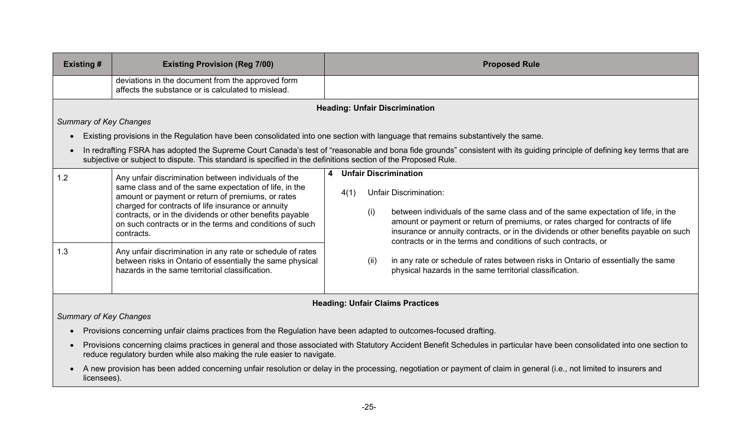| <b>Existing #</b>             | <b>Existing Provision (Reg 7/00)</b>                                                                                                                                                                                                                                                                                                                            | <b>Proposed Rule</b>                                                                                                                                                                                                                                                                                                                                                                                                                       |
|-------------------------------|-----------------------------------------------------------------------------------------------------------------------------------------------------------------------------------------------------------------------------------------------------------------------------------------------------------------------------------------------------------------|--------------------------------------------------------------------------------------------------------------------------------------------------------------------------------------------------------------------------------------------------------------------------------------------------------------------------------------------------------------------------------------------------------------------------------------------|
|                               | deviations in the document from the approved form<br>affects the substance or is calculated to mislead.                                                                                                                                                                                                                                                         |                                                                                                                                                                                                                                                                                                                                                                                                                                            |
|                               |                                                                                                                                                                                                                                                                                                                                                                 | <b>Heading: Unfair Discrimination</b>                                                                                                                                                                                                                                                                                                                                                                                                      |
| <b>Summary of Key Changes</b> |                                                                                                                                                                                                                                                                                                                                                                 |                                                                                                                                                                                                                                                                                                                                                                                                                                            |
|                               |                                                                                                                                                                                                                                                                                                                                                                 | Existing provisions in the Regulation have been consolidated into one section with language that remains substantively the same.                                                                                                                                                                                                                                                                                                           |
|                               | subjective or subject to dispute. This standard is specified in the definitions section of the Proposed Rule.                                                                                                                                                                                                                                                   | In redrafting FSRA has adopted the Supreme Court Canada's test of "reasonable and bona fide grounds" consistent with its guiding principle of defining key terms that are                                                                                                                                                                                                                                                                  |
| 1.2                           | Any unfair discrimination between individuals of the<br>same class and of the same expectation of life, in the<br>amount or payment or return of premiums, or rates<br>charged for contracts of life insurance or annuity<br>contracts, or in the dividends or other benefits payable<br>on such contracts or in the terms and conditions of such<br>contracts. | <b>Unfair Discrimination</b><br>$\overline{\mathbf{4}}$<br><b>Unfair Discrimination:</b><br>4(1)<br>between individuals of the same class and of the same expectation of life, in the<br>(i)<br>amount or payment or return of premiums, or rates charged for contracts of life<br>insurance or annuity contracts, or in the dividends or other benefits payable on such<br>contracts or in the terms and conditions of such contracts, or |
| 1.3                           | Any unfair discrimination in any rate or schedule of rates<br>between risks in Ontario of essentially the same physical<br>hazards in the same territorial classification.                                                                                                                                                                                      | in any rate or schedule of rates between risks in Ontario of essentially the same<br>(ii)<br>physical hazards in the same territorial classification.                                                                                                                                                                                                                                                                                      |

## **Heading: Unfair Claims Practices**

*Summary of Key Changes*

- Provisions concerning unfair claims practices from the Regulation have been adapted to outcomes-focused drafting.
- Provisions concerning claims practices in general and those associated with Statutory Accident Benefit Schedules in particular have been consolidated into one section to reduce regulatory burden while also making the rule easier to navigate.
- A new provision has been added concerning unfair resolution or delay in the processing, negotiation or payment of claim in general (i.e., not limited to insurers and licensees).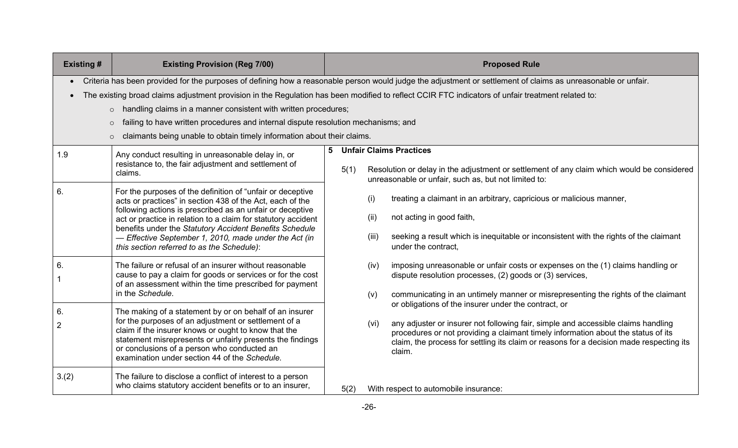| <b>Existing#</b>                                                                                                                                                                                                                                                                                                                                                                                                                                                                                                                                                          | <b>Existing Provision (Reg 7/00)</b>                                                                                                                                                                                                                                                                                                                                                                                    |   | <b>Proposed Rule</b> |                      |                                                                                                                                                                                                                                                                                                                                     |  |  |             |                                                                                                                                                                                                                                  |
|---------------------------------------------------------------------------------------------------------------------------------------------------------------------------------------------------------------------------------------------------------------------------------------------------------------------------------------------------------------------------------------------------------------------------------------------------------------------------------------------------------------------------------------------------------------------------|-------------------------------------------------------------------------------------------------------------------------------------------------------------------------------------------------------------------------------------------------------------------------------------------------------------------------------------------------------------------------------------------------------------------------|---|----------------------|----------------------|-------------------------------------------------------------------------------------------------------------------------------------------------------------------------------------------------------------------------------------------------------------------------------------------------------------------------------------|--|--|-------------|----------------------------------------------------------------------------------------------------------------------------------------------------------------------------------------------------------------------------------|
| Criteria has been provided for the purposes of defining how a reasonable person would judge the adjustment or settlement of claims as unreasonable or unfair.<br>The existing broad claims adjustment provision in the Regulation has been modified to reflect CCIR FTC indicators of unfair treatment related to:<br>$\circ$ handling claims in a manner consistent with written procedures;<br>failing to have written procedures and internal dispute resolution mechanisms; and<br>$\circ$<br>claimants being unable to obtain timely information about their claims. |                                                                                                                                                                                                                                                                                                                                                                                                                         |   |                      |                      |                                                                                                                                                                                                                                                                                                                                     |  |  |             |                                                                                                                                                                                                                                  |
| 1.9                                                                                                                                                                                                                                                                                                                                                                                                                                                                                                                                                                       | Any conduct resulting in unreasonable delay in, or<br>resistance to, the fair adjustment and settlement of<br>claims.                                                                                                                                                                                                                                                                                                   | 5 | 5(1)                 |                      | <b>Unfair Claims Practices</b><br>Resolution or delay in the adjustment or settlement of any claim which would be considered<br>unreasonable or unfair, such as, but not limited to:                                                                                                                                                |  |  |             |                                                                                                                                                                                                                                  |
| 6.                                                                                                                                                                                                                                                                                                                                                                                                                                                                                                                                                                        | For the purposes of the definition of "unfair or deceptive<br>acts or practices" in section 438 of the Act, each of the<br>following actions is prescribed as an unfair or deceptive<br>act or practice in relation to a claim for statutory accident<br>benefits under the Statutory Accident Benefits Schedule<br>- Effective September 1, 2010, made under the Act (in<br>this section referred to as the Schedule): |   |                      | (i)<br>(ii)<br>(iii) | treating a claimant in an arbitrary, capricious or malicious manner,<br>not acting in good faith,<br>seeking a result which is inequitable or inconsistent with the rights of the claimant<br>under the contract,                                                                                                                   |  |  |             |                                                                                                                                                                                                                                  |
| 6.                                                                                                                                                                                                                                                                                                                                                                                                                                                                                                                                                                        | The failure or refusal of an insurer without reasonable<br>cause to pay a claim for goods or services or for the cost<br>of an assessment within the time prescribed for payment<br>in the Schedule.                                                                                                                                                                                                                    |   |                      |                      |                                                                                                                                                                                                                                                                                                                                     |  |  | (iv)<br>(v) | imposing unreasonable or unfair costs or expenses on the (1) claims handling or<br>dispute resolution processes, (2) goods or (3) services,<br>communicating in an untimely manner or misrepresenting the rights of the claimant |
| 6.<br>$\overline{2}$                                                                                                                                                                                                                                                                                                                                                                                                                                                                                                                                                      | The making of a statement by or on behalf of an insurer<br>for the purposes of an adjustment or settlement of a<br>claim if the insurer knows or ought to know that the<br>statement misrepresents or unfairly presents the findings<br>or conclusions of a person who conducted an<br>examination under section 44 of the Schedule.                                                                                    |   |                      | (vi)                 | or obligations of the insurer under the contract, or<br>any adjuster or insurer not following fair, simple and accessible claims handling<br>procedures or not providing a claimant timely information about the status of its<br>claim, the process for settling its claim or reasons for a decision made respecting its<br>claim. |  |  |             |                                                                                                                                                                                                                                  |
| 3.(2)                                                                                                                                                                                                                                                                                                                                                                                                                                                                                                                                                                     | The failure to disclose a conflict of interest to a person<br>who claims statutory accident benefits or to an insurer,                                                                                                                                                                                                                                                                                                  |   | 5(2)                 |                      | With respect to automobile insurance:                                                                                                                                                                                                                                                                                               |  |  |             |                                                                                                                                                                                                                                  |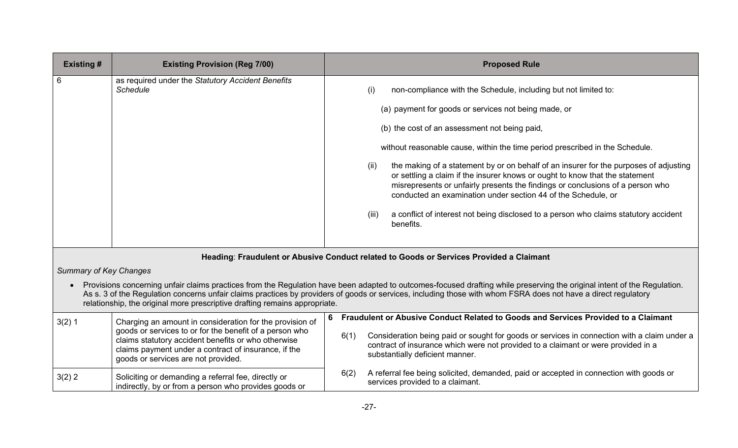| <b>Existing #</b> | <b>Existing Provision (Reg 7/00)</b>                                                    | <b>Proposed Rule</b>                                                                                                                                                                                                                                                                                                             |  |  |  |  |
|-------------------|-----------------------------------------------------------------------------------------|----------------------------------------------------------------------------------------------------------------------------------------------------------------------------------------------------------------------------------------------------------------------------------------------------------------------------------|--|--|--|--|
|                   | as required under the Statutory Accident Benefits<br><b>Schedule</b>                    | (i)<br>non-compliance with the Schedule, including but not limited to:<br>(a) payment for goods or services not being made, or                                                                                                                                                                                                   |  |  |  |  |
|                   |                                                                                         | (b) the cost of an assessment not being paid,                                                                                                                                                                                                                                                                                    |  |  |  |  |
|                   |                                                                                         | without reasonable cause, within the time period prescribed in the Schedule.                                                                                                                                                                                                                                                     |  |  |  |  |
|                   |                                                                                         | the making of a statement by or on behalf of an insurer for the purposes of adjusting<br>(ii)<br>or settling a claim if the insurer knows or ought to know that the statement<br>misrepresents or unfairly presents the findings or conclusions of a person who<br>conducted an examination under section 44 of the Schedule, or |  |  |  |  |
|                   |                                                                                         | a conflict of interest not being disclosed to a person who claims statutory accident<br>(iii)<br>benefits.                                                                                                                                                                                                                       |  |  |  |  |
|                   | Heading: Fraudulent or Abusive Conduct related to Goods or Services Provided a Claimant |                                                                                                                                                                                                                                                                                                                                  |  |  |  |  |

# *Summary of Key Changes*

• Provisions concerning unfair claims practices from the Regulation have been adapted to outcomes-focused drafting while preserving the original intent of the Regulation. As s. 3 of the Regulation concerns unfair claims practices by providers of goods or services, including those with whom FSRA does not have a direct regulatory relationship, the original more prescriptive drafting remains appropriate.

| 3(2)1    | Charging an amount in consideration for the provision of                                                                                                                                                      | 6 |      | Fraudulent or Abusive Conduct Related to Goods and Services Provided to a Claimant                                                                                                                                  |
|----------|---------------------------------------------------------------------------------------------------------------------------------------------------------------------------------------------------------------|---|------|---------------------------------------------------------------------------------------------------------------------------------------------------------------------------------------------------------------------|
|          | goods or services to or for the benefit of a person who<br>claims statutory accident benefits or who otherwise<br>claims payment under a contract of insurance, if the<br>goods or services are not provided. |   | 6(1) | Consideration being paid or sought for goods or services in connection with a claim under a<br>contract of insurance which were not provided to a claimant or were provided in a<br>substantially deficient manner. |
| $3(2)$ 2 | Soliciting or demanding a referral fee, directly or<br>indirectly, by or from a person who provides goods or                                                                                                  |   | 6(2) | A referral fee being solicited, demanded, paid or accepted in connection with goods or<br>services provided to a claimant.                                                                                          |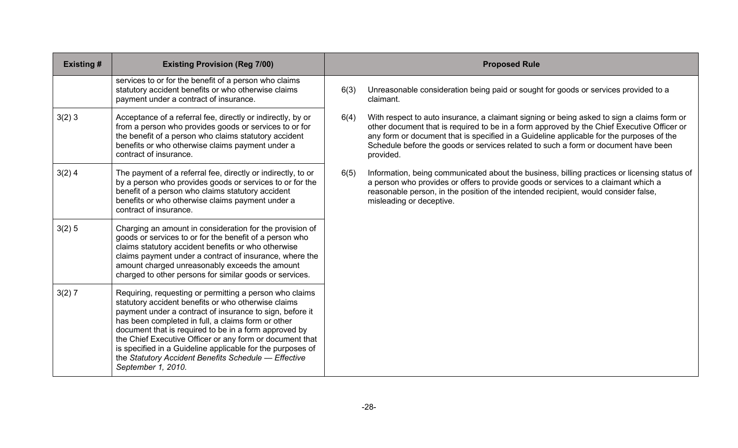| <b>Existing#</b> | <b>Existing Provision (Reg 7/00)</b>                                                                                                                                                                                                                                                                                                                                                                                                                                                              |      | <b>Proposed Rule</b>                                                                                                                                                                                                                                                                                                                                                                    |
|------------------|---------------------------------------------------------------------------------------------------------------------------------------------------------------------------------------------------------------------------------------------------------------------------------------------------------------------------------------------------------------------------------------------------------------------------------------------------------------------------------------------------|------|-----------------------------------------------------------------------------------------------------------------------------------------------------------------------------------------------------------------------------------------------------------------------------------------------------------------------------------------------------------------------------------------|
|                  | services to or for the benefit of a person who claims<br>statutory accident benefits or who otherwise claims<br>payment under a contract of insurance.                                                                                                                                                                                                                                                                                                                                            | 6(3) | Unreasonable consideration being paid or sought for goods or services provided to a<br>claimant.                                                                                                                                                                                                                                                                                        |
| 3(2)3            | Acceptance of a referral fee, directly or indirectly, by or<br>from a person who provides goods or services to or for<br>the benefit of a person who claims statutory accident<br>benefits or who otherwise claims payment under a<br>contract of insurance.                                                                                                                                                                                                                                      | 6(4) | With respect to auto insurance, a claimant signing or being asked to sign a claims form or<br>other document that is required to be in a form approved by the Chief Executive Officer or<br>any form or document that is specified in a Guideline applicable for the purposes of the<br>Schedule before the goods or services related to such a form or document have been<br>provided. |
| $3(2)$ 4         | The payment of a referral fee, directly or indirectly, to or<br>by a person who provides goods or services to or for the<br>benefit of a person who claims statutory accident<br>benefits or who otherwise claims payment under a<br>contract of insurance.                                                                                                                                                                                                                                       | 6(5) | Information, being communicated about the business, billing practices or licensing status of<br>a person who provides or offers to provide goods or services to a claimant which a<br>reasonable person, in the position of the intended recipient, would consider false,<br>misleading or deceptive.                                                                                   |
| 3(2) 5           | Charging an amount in consideration for the provision of<br>goods or services to or for the benefit of a person who<br>claims statutory accident benefits or who otherwise<br>claims payment under a contract of insurance, where the<br>amount charged unreasonably exceeds the amount<br>charged to other persons for similar goods or services.                                                                                                                                                |      |                                                                                                                                                                                                                                                                                                                                                                                         |
| 3(2) 7           | Requiring, requesting or permitting a person who claims<br>statutory accident benefits or who otherwise claims<br>payment under a contract of insurance to sign, before it<br>has been completed in full, a claims form or other<br>document that is required to be in a form approved by<br>the Chief Executive Officer or any form or document that<br>is specified in a Guideline applicable for the purposes of<br>the Statutory Accident Benefits Schedule - Effective<br>September 1, 2010. |      |                                                                                                                                                                                                                                                                                                                                                                                         |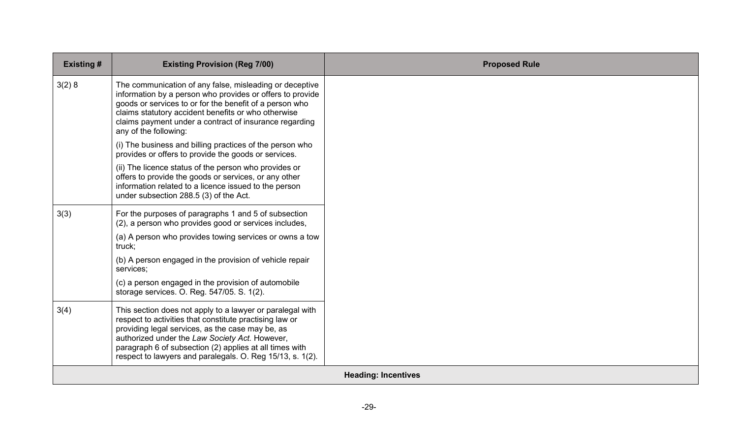| <b>Existing#</b> | <b>Existing Provision (Reg 7/00)</b>                                                                                                                                                                                                                                                                                                               | <b>Proposed Rule</b>       |
|------------------|----------------------------------------------------------------------------------------------------------------------------------------------------------------------------------------------------------------------------------------------------------------------------------------------------------------------------------------------------|----------------------------|
| 3(2)8            | The communication of any false, misleading or deceptive<br>information by a person who provides or offers to provide<br>goods or services to or for the benefit of a person who<br>claims statutory accident benefits or who otherwise<br>claims payment under a contract of insurance regarding<br>any of the following:                          |                            |
|                  | (i) The business and billing practices of the person who<br>provides or offers to provide the goods or services.                                                                                                                                                                                                                                   |                            |
|                  | (ii) The licence status of the person who provides or<br>offers to provide the goods or services, or any other<br>information related to a licence issued to the person<br>under subsection 288.5 (3) of the Act.                                                                                                                                  |                            |
| 3(3)             | For the purposes of paragraphs 1 and 5 of subsection<br>(2), a person who provides good or services includes,                                                                                                                                                                                                                                      |                            |
|                  | (a) A person who provides towing services or owns a tow<br>truck;                                                                                                                                                                                                                                                                                  |                            |
|                  | (b) A person engaged in the provision of vehicle repair<br>services;                                                                                                                                                                                                                                                                               |                            |
|                  | (c) a person engaged in the provision of automobile<br>storage services. O. Reg. 547/05. S. 1(2).                                                                                                                                                                                                                                                  |                            |
| 3(4)             | This section does not apply to a lawyer or paralegal with<br>respect to activities that constitute practising law or<br>providing legal services, as the case may be, as<br>authorized under the Law Society Act. However,<br>paragraph 6 of subsection (2) applies at all times with<br>respect to lawyers and paralegals. O. Reg 15/13, s. 1(2). |                            |
|                  |                                                                                                                                                                                                                                                                                                                                                    | <b>Heading: Incentives</b> |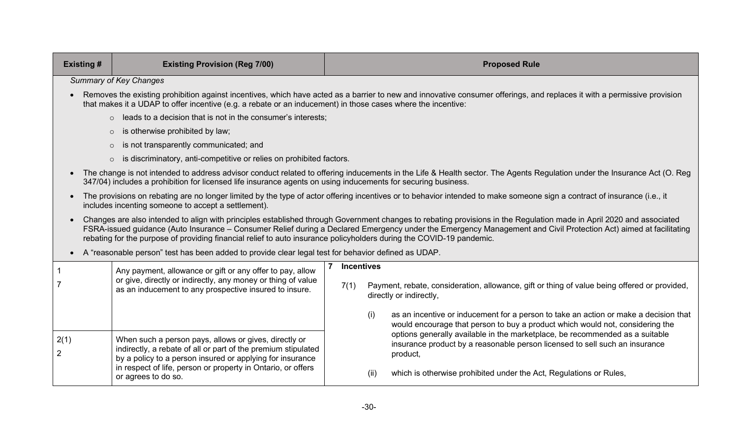| <b>Existing#</b>       | <b>Existing Provision (Reg 7/00)</b>                                                                                                                                                                                                                                                                                                                                                                                                                              | <b>Proposed Rule</b>                                                                                                                                                         |  |  |  |  |
|------------------------|-------------------------------------------------------------------------------------------------------------------------------------------------------------------------------------------------------------------------------------------------------------------------------------------------------------------------------------------------------------------------------------------------------------------------------------------------------------------|------------------------------------------------------------------------------------------------------------------------------------------------------------------------------|--|--|--|--|
|                        | <b>Summary of Key Changes</b>                                                                                                                                                                                                                                                                                                                                                                                                                                     |                                                                                                                                                                              |  |  |  |  |
| $\bullet$              | that makes it a UDAP to offer incentive (e.g. a rebate or an inducement) in those cases where the incentive:                                                                                                                                                                                                                                                                                                                                                      | Removes the existing prohibition against incentives, which have acted as a barrier to new and innovative consumer offerings, and replaces it with a permissive provision     |  |  |  |  |
|                        | $\circ$ leads to a decision that is not in the consumer's interests;                                                                                                                                                                                                                                                                                                                                                                                              |                                                                                                                                                                              |  |  |  |  |
|                        | is otherwise prohibited by law;<br>$\circ$                                                                                                                                                                                                                                                                                                                                                                                                                        |                                                                                                                                                                              |  |  |  |  |
|                        | is not transparently communicated; and<br>$\circ$                                                                                                                                                                                                                                                                                                                                                                                                                 |                                                                                                                                                                              |  |  |  |  |
|                        | o is discriminatory, anti-competitive or relies on prohibited factors.                                                                                                                                                                                                                                                                                                                                                                                            |                                                                                                                                                                              |  |  |  |  |
| $\bullet$              | 347/04) includes a prohibition for licensed life insurance agents on using inducements for securing business.                                                                                                                                                                                                                                                                                                                                                     | The change is not intended to address advisor conduct related to offering inducements in the Life & Health sector. The Agents Regulation under the Insurance Act (O. Reg     |  |  |  |  |
| $\bullet$              | The provisions on rebating are no longer limited by the type of actor offering incentives or to behavior intended to make someone sign a contract of insurance (i.e., it<br>includes incenting someone to accept a settlement).                                                                                                                                                                                                                                   |                                                                                                                                                                              |  |  |  |  |
| $\bullet$              | Changes are also intended to align with principles established through Government changes to rebating provisions in the Regulation made in April 2020 and associated<br>FSRA-issued guidance (Auto Insurance – Consumer Relief during a Declared Emergency under the Emergency Management and Civil Protection Act) aimed at facilitating<br>rebating for the purpose of providing financial relief to auto insurance policyholders during the COVID-19 pandemic. |                                                                                                                                                                              |  |  |  |  |
| $\bullet$              | A "reasonable person" test has been added to provide clear legal test for behavior defined as UDAP.                                                                                                                                                                                                                                                                                                                                                               |                                                                                                                                                                              |  |  |  |  |
|                        | Any payment, allowance or gift or any offer to pay, allow<br>or give, directly or indirectly, any money or thing of value                                                                                                                                                                                                                                                                                                                                         | <b>Incentives</b>                                                                                                                                                            |  |  |  |  |
|                        | as an inducement to any prospective insured to insure.                                                                                                                                                                                                                                                                                                                                                                                                            | Payment, rebate, consideration, allowance, gift or thing of value being offered or provided,<br>7(1)<br>directly or indirectly,                                              |  |  |  |  |
|                        |                                                                                                                                                                                                                                                                                                                                                                                                                                                                   | (i)<br>as an incentive or inducement for a person to take an action or make a decision that<br>would encourage that person to buy a product which would not, considering the |  |  |  |  |
| 2(1)<br>$\overline{2}$ | When such a person pays, allows or gives, directly or<br>indirectly, a rebate of all or part of the premium stipulated<br>by a policy to a person insured or applying for insurance                                                                                                                                                                                                                                                                               | options generally available in the marketplace, be recommended as a suitable<br>insurance product by a reasonable person licensed to sell such an insurance<br>product,      |  |  |  |  |
|                        | in respect of life, person or property in Ontario, or offers<br>or agrees to do so.                                                                                                                                                                                                                                                                                                                                                                               | which is otherwise prohibited under the Act, Regulations or Rules,<br>(ii)                                                                                                   |  |  |  |  |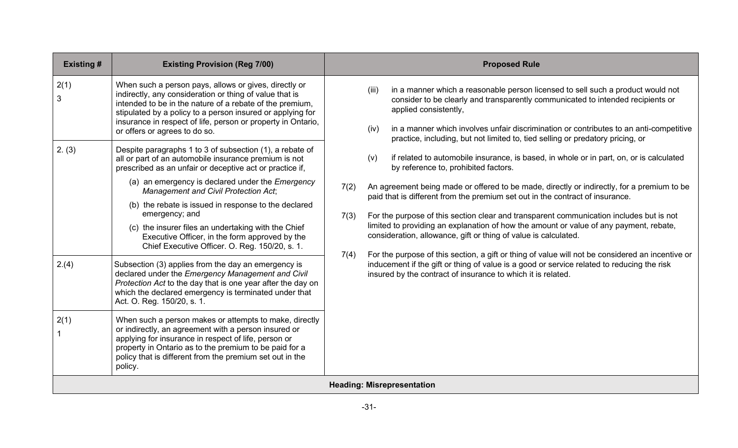| <b>Existing#</b> | <b>Existing Provision (Reg 7/00)</b>                                                                                                                                                                                                                                                                                                                                                                                                                                                                                                                                                                                              |                      |               | <b>Proposed Rule</b>                                                                                                                                                                                                                                                                                                                                                                                                                                                                                                                                                                                                                                                                                                                                                                                                                                                                                                       |
|------------------|-----------------------------------------------------------------------------------------------------------------------------------------------------------------------------------------------------------------------------------------------------------------------------------------------------------------------------------------------------------------------------------------------------------------------------------------------------------------------------------------------------------------------------------------------------------------------------------------------------------------------------------|----------------------|---------------|----------------------------------------------------------------------------------------------------------------------------------------------------------------------------------------------------------------------------------------------------------------------------------------------------------------------------------------------------------------------------------------------------------------------------------------------------------------------------------------------------------------------------------------------------------------------------------------------------------------------------------------------------------------------------------------------------------------------------------------------------------------------------------------------------------------------------------------------------------------------------------------------------------------------------|
| 2(1)<br>3        | When such a person pays, allows or gives, directly or<br>indirectly, any consideration or thing of value that is<br>intended to be in the nature of a rebate of the premium,<br>stipulated by a policy to a person insured or applying for<br>insurance in respect of life, person or property in Ontario,<br>or offers or agrees to do so.                                                                                                                                                                                                                                                                                       |                      | (iii)<br>(iv) | in a manner which a reasonable person licensed to sell such a product would not<br>consider to be clearly and transparently communicated to intended recipients or<br>applied consistently,<br>in a manner which involves unfair discrimination or contributes to an anti-competitive                                                                                                                                                                                                                                                                                                                                                                                                                                                                                                                                                                                                                                      |
| 2. (3)<br>2.(4)  | Despite paragraphs 1 to 3 of subsection (1), a rebate of<br>all or part of an automobile insurance premium is not<br>prescribed as an unfair or deceptive act or practice if,<br>(a) an emergency is declared under the <i>Emergency</i><br>Management and Civil Protection Act;<br>(b) the rebate is issued in response to the declared<br>emergency; and<br>(c) the insurer files an undertaking with the Chief<br>Executive Officer, in the form approved by the<br>Chief Executive Officer. O. Reg. 150/20, s. 1.<br>Subsection (3) applies from the day an emergency is<br>declared under the Emergency Management and Civil | 7(2)<br>7(3)<br>7(4) | (v)           | practice, including, but not limited to, tied selling or predatory pricing, or<br>if related to automobile insurance, is based, in whole or in part, on, or is calculated<br>by reference to, prohibited factors.<br>An agreement being made or offered to be made, directly or indirectly, for a premium to be<br>paid that is different from the premium set out in the contract of insurance.<br>For the purpose of this section clear and transparent communication includes but is not<br>limited to providing an explanation of how the amount or value of any payment, rebate,<br>consideration, allowance, gift or thing of value is calculated.<br>For the purpose of this section, a gift or thing of value will not be considered an incentive or<br>inducement if the gift or thing of value is a good or service related to reducing the risk<br>insured by the contract of insurance to which it is related. |
| 2(1)             | Protection Act to the day that is one year after the day on<br>which the declared emergency is terminated under that<br>Act. O. Reg. 150/20, s. 1.<br>When such a person makes or attempts to make, directly<br>or indirectly, an agreement with a person insured or<br>applying for insurance in respect of life, person or<br>property in Ontario as to the premium to be paid for a<br>policy that is different from the premium set out in the<br>policy.                                                                                                                                                                     |                      |               |                                                                                                                                                                                                                                                                                                                                                                                                                                                                                                                                                                                                                                                                                                                                                                                                                                                                                                                            |
|                  |                                                                                                                                                                                                                                                                                                                                                                                                                                                                                                                                                                                                                                   |                      |               | <b>Heading: Misrepresentation</b>                                                                                                                                                                                                                                                                                                                                                                                                                                                                                                                                                                                                                                                                                                                                                                                                                                                                                          |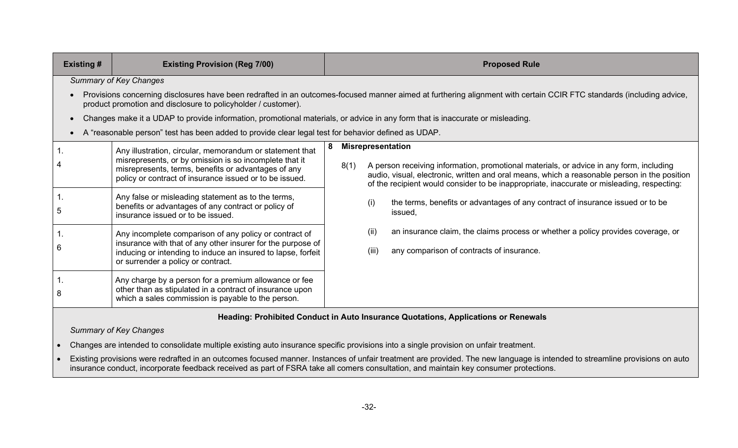| <b>Existing #</b> | <b>Existing Provision (Reg 7/00)</b>                                                                                                                                                                                                 | <b>Proposed Rule</b> |                                                                                                                                                                                                                                                                                                                   |  |
|-------------------|--------------------------------------------------------------------------------------------------------------------------------------------------------------------------------------------------------------------------------------|----------------------|-------------------------------------------------------------------------------------------------------------------------------------------------------------------------------------------------------------------------------------------------------------------------------------------------------------------|--|
|                   | <b>Summary of Key Changes</b>                                                                                                                                                                                                        |                      |                                                                                                                                                                                                                                                                                                                   |  |
|                   | product promotion and disclosure to policyholder / customer).                                                                                                                                                                        |                      | Provisions concerning disclosures have been redrafted in an outcomes-focused manner aimed at furthering alignment with certain CCIR FTC standards (including advice,                                                                                                                                              |  |
|                   | Changes make it a UDAP to provide information, promotional materials, or advice in any form that is inaccurate or misleading.                                                                                                        |                      |                                                                                                                                                                                                                                                                                                                   |  |
|                   | A "reasonable person" test has been added to provide clear legal test for behavior defined as UDAP.                                                                                                                                  |                      |                                                                                                                                                                                                                                                                                                                   |  |
|                   | Any illustration, circular, memorandum or statement that<br>misrepresents, or by omission is so incomplete that it<br>misrepresents, terms, benefits or advantages of any<br>policy or contract of insurance issued or to be issued. | 8(1)                 | <b>Misrepresentation</b><br>A person receiving information, promotional materials, or advice in any form, including<br>audio, visual, electronic, written and oral means, which a reasonable person in the position<br>of the recipient would consider to be inappropriate, inaccurate or misleading, respecting: |  |
| 5                 | Any false or misleading statement as to the terms,<br>benefits or advantages of any contract or policy of<br>insurance issued or to be issued.                                                                                       |                      | the terms, benefits or advantages of any contract of insurance issued or to be<br>(i)<br>issued,                                                                                                                                                                                                                  |  |
| 6                 | Any incomplete comparison of any policy or contract of<br>insurance with that of any other insurer for the purpose of<br>inducing or intending to induce an insured to lapse, forfeit<br>or surrender a policy or contract.          |                      | an insurance claim, the claims process or whether a policy provides coverage, or<br>(i)<br>any comparison of contracts of insurance.<br>(iii)                                                                                                                                                                     |  |
| 8                 | Any charge by a person for a premium allowance or fee<br>other than as stipulated in a contract of insurance upon<br>which a sales commission is payable to the person.                                                              |                      |                                                                                                                                                                                                                                                                                                                   |  |

### **Heading: Prohibited Conduct in Auto Insurance Quotations, Applications or Renewals**

*Summary of Key Changes*

• Changes are intended to consolidate multiple existing auto insurance specific provisions into a single provision on unfair treatment.

• Existing provisions were redrafted in an outcomes focused manner. Instances of unfair treatment are provided. The new language is intended to streamline provisions on auto insurance conduct, incorporate feedback received as part of FSRA take all comers consultation, and maintain key consumer protections.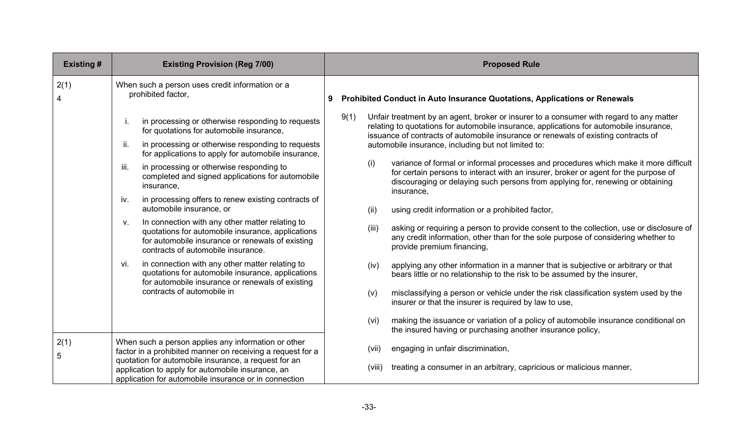| <b>Existing#</b> | <b>Existing Provision (Reg 7/00)</b>                                                                                                                                                                 |   |        | <b>Proposed Rule</b>                                                                                                                                                                                                                                                        |
|------------------|------------------------------------------------------------------------------------------------------------------------------------------------------------------------------------------------------|---|--------|-----------------------------------------------------------------------------------------------------------------------------------------------------------------------------------------------------------------------------------------------------------------------------|
| 2(1)             | When such a person uses credit information or a<br>prohibited factor,                                                                                                                                | 9 |        | Prohibited Conduct in Auto Insurance Quotations, Applications or Renewals                                                                                                                                                                                                   |
|                  | in processing or otherwise responding to requests<br>Ť.<br>for quotations for automobile insurance,                                                                                                  |   | 9(1)   | Unfair treatment by an agent, broker or insurer to a consumer with regard to any matter<br>relating to quotations for automobile insurance, applications for automobile insurance,<br>issuance of contracts of automobile insurance or renewals of existing contracts of    |
|                  | in processing or otherwise responding to requests<br>ii.<br>for applications to apply for automobile insurance,                                                                                      |   |        | automobile insurance, including but not limited to:                                                                                                                                                                                                                         |
|                  | in processing or otherwise responding to<br>iii.<br>completed and signed applications for automobile<br>insurance,                                                                                   |   | (i)    | variance of formal or informal processes and procedures which make it more difficult<br>for certain persons to interact with an insurer, broker or agent for the purpose of<br>discouraging or delaying such persons from applying for, renewing or obtaining<br>insurance, |
|                  | in processing offers to renew existing contracts of<br>iv.<br>automobile insurance, or                                                                                                               |   | (ii)   | using credit information or a prohibited factor,                                                                                                                                                                                                                            |
|                  | In connection with any other matter relating to<br>V.<br>quotations for automobile insurance, applications<br>for automobile insurance or renewals of existing<br>contracts of automobile insurance. |   | (iii)  | asking or requiring a person to provide consent to the collection, use or disclosure of<br>any credit information, other than for the sole purpose of considering whether to<br>provide premium financing,                                                                  |
|                  | in connection with any other matter relating to<br>vi.<br>quotations for automobile insurance, applications<br>for automobile insurance or renewals of existing                                      |   | (iv)   | applying any other information in a manner that is subjective or arbitrary or that<br>bears little or no relationship to the risk to be assumed by the insurer,                                                                                                             |
|                  | contracts of automobile in                                                                                                                                                                           |   | (v)    | misclassifying a person or vehicle under the risk classification system used by the<br>insurer or that the insurer is required by law to use,                                                                                                                               |
|                  |                                                                                                                                                                                                      |   | (vi)   | making the issuance or variation of a policy of automobile insurance conditional on<br>the insured having or purchasing another insurance policy,                                                                                                                           |
| 2(1)<br>5        | When such a person applies any information or other<br>factor in a prohibited manner on receiving a request for a                                                                                    |   | (vii)  | engaging in unfair discrimination,                                                                                                                                                                                                                                          |
|                  | quotation for automobile insurance, a request for an<br>application to apply for automobile insurance, an<br>application for automobile insurance or in connection                                   |   | (viii) | treating a consumer in an arbitrary, capricious or malicious manner,                                                                                                                                                                                                        |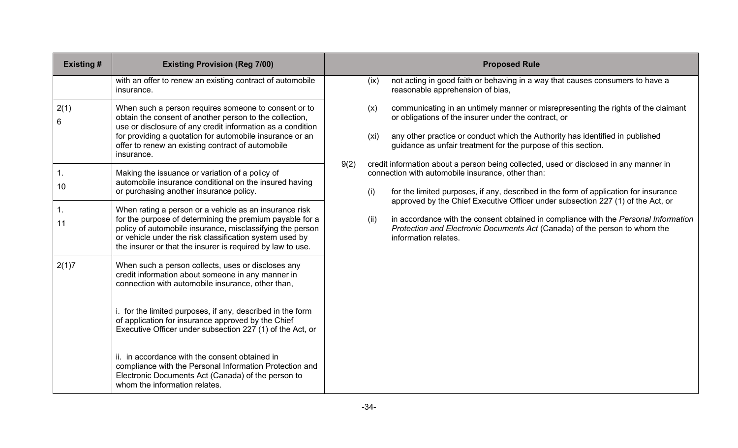| <b>Existing#</b> | <b>Existing Provision (Reg 7/00)</b>                                                                                                                                                                                                                                                                         |      |             | <b>Proposed Rule</b>                                                                                                                                                                                                                                                                                                  |
|------------------|--------------------------------------------------------------------------------------------------------------------------------------------------------------------------------------------------------------------------------------------------------------------------------------------------------------|------|-------------|-----------------------------------------------------------------------------------------------------------------------------------------------------------------------------------------------------------------------------------------------------------------------------------------------------------------------|
|                  | with an offer to renew an existing contract of automobile<br>insurance.                                                                                                                                                                                                                                      |      | (ix)        | not acting in good faith or behaving in a way that causes consumers to have a<br>reasonable apprehension of bias,                                                                                                                                                                                                     |
| 2(1)<br>6        | When such a person requires someone to consent or to<br>obtain the consent of another person to the collection,<br>use or disclosure of any credit information as a condition<br>for providing a quotation for automobile insurance or an<br>offer to renew an existing contract of automobile<br>insurance. |      | (x)<br>(xi) | communicating in an untimely manner or misrepresenting the rights of the claimant<br>or obligations of the insurer under the contract, or<br>any other practice or conduct which the Authority has identified in published<br>guidance as unfair treatment for the purpose of this section.                           |
| 1.<br>10         | Making the issuance or variation of a policy of<br>automobile insurance conditional on the insured having<br>or purchasing another insurance policy.                                                                                                                                                         | 9(2) | (i)         | credit information about a person being collected, used or disclosed in any manner in<br>connection with automobile insurance, other than:<br>for the limited purposes, if any, described in the form of application for insurance<br>approved by the Chief Executive Officer under subsection 227 (1) of the Act, or |
| 1.<br>11         | When rating a person or a vehicle as an insurance risk<br>for the purpose of determining the premium payable for a<br>policy of automobile insurance, misclassifying the person<br>or vehicle under the risk classification system used by<br>the insurer or that the insurer is required by law to use.     |      | (ii)        | in accordance with the consent obtained in compliance with the Personal Information<br>Protection and Electronic Documents Act (Canada) of the person to whom the<br>information relates.                                                                                                                             |
| 2(1)7            | When such a person collects, uses or discloses any<br>credit information about someone in any manner in<br>connection with automobile insurance, other than,                                                                                                                                                 |      |             |                                                                                                                                                                                                                                                                                                                       |
|                  | i. for the limited purposes, if any, described in the form<br>of application for insurance approved by the Chief<br>Executive Officer under subsection 227 (1) of the Act, or                                                                                                                                |      |             |                                                                                                                                                                                                                                                                                                                       |
|                  | ii. in accordance with the consent obtained in<br>compliance with the Personal Information Protection and<br>Electronic Documents Act (Canada) of the person to<br>whom the information relates.                                                                                                             |      |             |                                                                                                                                                                                                                                                                                                                       |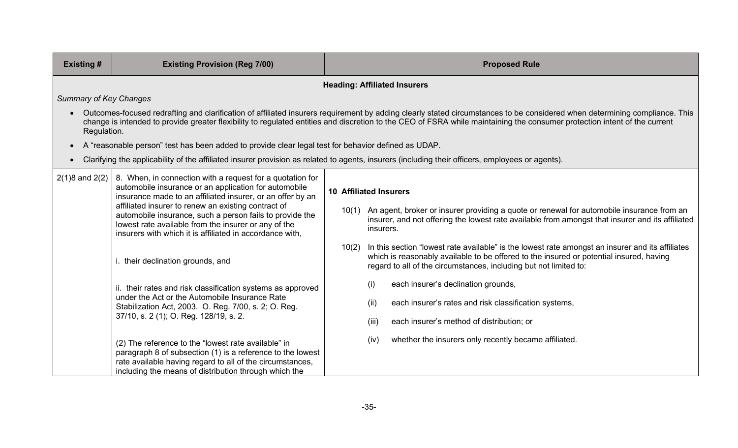| <b>Existing#</b>                                                                                                                                                                                                                                                                                                                                                                                                                                                                                                                                                                                                                                                                                      | <b>Existing Provision (Reg 7/00)</b>                                                                                                                                                                                                                                                                                                                                   |                                                                                                                                                                                                                                                                                                                                                                                                                                                                                                                 | <b>Proposed Rule</b>                                                                                                                                              |  |  |  |  |
|-------------------------------------------------------------------------------------------------------------------------------------------------------------------------------------------------------------------------------------------------------------------------------------------------------------------------------------------------------------------------------------------------------------------------------------------------------------------------------------------------------------------------------------------------------------------------------------------------------------------------------------------------------------------------------------------------------|------------------------------------------------------------------------------------------------------------------------------------------------------------------------------------------------------------------------------------------------------------------------------------------------------------------------------------------------------------------------|-----------------------------------------------------------------------------------------------------------------------------------------------------------------------------------------------------------------------------------------------------------------------------------------------------------------------------------------------------------------------------------------------------------------------------------------------------------------------------------------------------------------|-------------------------------------------------------------------------------------------------------------------------------------------------------------------|--|--|--|--|
|                                                                                                                                                                                                                                                                                                                                                                                                                                                                                                                                                                                                                                                                                                       | <b>Heading: Affiliated Insurers</b>                                                                                                                                                                                                                                                                                                                                    |                                                                                                                                                                                                                                                                                                                                                                                                                                                                                                                 |                                                                                                                                                                   |  |  |  |  |
| <b>Summary of Key Changes</b>                                                                                                                                                                                                                                                                                                                                                                                                                                                                                                                                                                                                                                                                         |                                                                                                                                                                                                                                                                                                                                                                        |                                                                                                                                                                                                                                                                                                                                                                                                                                                                                                                 |                                                                                                                                                                   |  |  |  |  |
|                                                                                                                                                                                                                                                                                                                                                                                                                                                                                                                                                                                                                                                                                                       | Outcomes-focused redrafting and clarification of affiliated insurers requirement by adding clearly stated circumstances to be considered when determining compliance. This<br>change is intended to provide greater flexibility to regulated entities and discretion to the CEO of FSRA while maintaining the consumer protection intent of the current<br>Regulation. |                                                                                                                                                                                                                                                                                                                                                                                                                                                                                                                 |                                                                                                                                                                   |  |  |  |  |
|                                                                                                                                                                                                                                                                                                                                                                                                                                                                                                                                                                                                                                                                                                       | A "reasonable person" test has been added to provide clear legal test for behavior defined as UDAP.                                                                                                                                                                                                                                                                    |                                                                                                                                                                                                                                                                                                                                                                                                                                                                                                                 |                                                                                                                                                                   |  |  |  |  |
|                                                                                                                                                                                                                                                                                                                                                                                                                                                                                                                                                                                                                                                                                                       | Clarifying the applicability of the affiliated insurer provision as related to agents, insurers (including their officers, employees or agents).                                                                                                                                                                                                                       |                                                                                                                                                                                                                                                                                                                                                                                                                                                                                                                 |                                                                                                                                                                   |  |  |  |  |
| 8. When, in connection with a request for a quotation for<br>$2(1)8$ and $2(2)$<br>automobile insurance or an application for automobile<br>insurance made to an affiliated insurer, or an offer by an<br>affiliated insurer to renew an existing contract of<br>automobile insurance, such a person fails to provide the<br>lowest rate available from the insurer or any of the<br>insurers with which it is affiliated in accordance with,<br>i. their declination grounds, and<br>ii. their rates and risk classification systems as approved<br>under the Act or the Automobile Insurance Rate<br>Stabilization Act, 2003. O. Reg. 7/00, s. 2; O. Reg.<br>37/10, s. 2 (1); O. Reg. 128/19, s. 2. | 10(1)<br>10(2)                                                                                                                                                                                                                                                                                                                                                         | <b>10 Affiliated Insurers</b><br>An agent, broker or insurer providing a quote or renewal for automobile insurance from an<br>insurer, and not offering the lowest rate available from amongst that insurer and its affiliated<br>insurers.<br>In this section "lowest rate available" is the lowest rate amongst an insurer and its affiliates<br>which is reasonably available to be offered to the insured or potential insured, having<br>regard to all of the circumstances, including but not limited to: |                                                                                                                                                                   |  |  |  |  |
|                                                                                                                                                                                                                                                                                                                                                                                                                                                                                                                                                                                                                                                                                                       |                                                                                                                                                                                                                                                                                                                                                                        |                                                                                                                                                                                                                                                                                                                                                                                                                                                                                                                 | each insurer's declination grounds,<br>(i)<br>each insurer's rates and risk classification systems,<br>(ii)<br>each insurer's method of distribution; or<br>(iii) |  |  |  |  |
|                                                                                                                                                                                                                                                                                                                                                                                                                                                                                                                                                                                                                                                                                                       | (2) The reference to the "lowest rate available" in<br>paragraph 8 of subsection (1) is a reference to the lowest<br>rate available having regard to all of the circumstances,<br>including the means of distribution through which the                                                                                                                                |                                                                                                                                                                                                                                                                                                                                                                                                                                                                                                                 | whether the insurers only recently became affiliated.<br>(iv)                                                                                                     |  |  |  |  |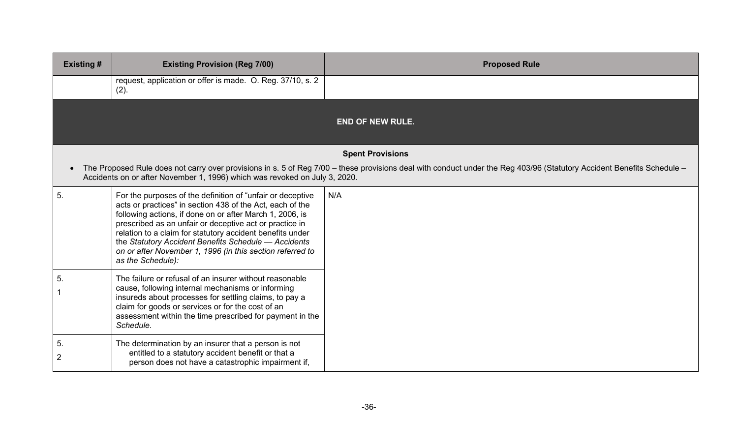| <b>Existing #</b>    | <b>Existing Provision (Reg 7/00)</b>                                                                                                                                                                                                                                                                                                                                                                                                                  | <b>Proposed Rule</b>                                                                                                                                                   |
|----------------------|-------------------------------------------------------------------------------------------------------------------------------------------------------------------------------------------------------------------------------------------------------------------------------------------------------------------------------------------------------------------------------------------------------------------------------------------------------|------------------------------------------------------------------------------------------------------------------------------------------------------------------------|
|                      | request, application or offer is made. O. Reg. 37/10, s. 2<br>(2).                                                                                                                                                                                                                                                                                                                                                                                    |                                                                                                                                                                        |
|                      |                                                                                                                                                                                                                                                                                                                                                                                                                                                       | <b>END OF NEW RULE.</b>                                                                                                                                                |
|                      |                                                                                                                                                                                                                                                                                                                                                                                                                                                       | <b>Spent Provisions</b>                                                                                                                                                |
| $\bullet$            | Accidents on or after November 1, 1996) which was revoked on July 3, 2020.                                                                                                                                                                                                                                                                                                                                                                            | The Proposed Rule does not carry over provisions in s. 5 of Reg 7/00 - these provisions deal with conduct under the Reg 403/96 (Statutory Accident Benefits Schedule - |
| 5.                   | For the purposes of the definition of "unfair or deceptive<br>acts or practices" in section 438 of the Act, each of the<br>following actions, if done on or after March 1, 2006, is<br>prescribed as an unfair or deceptive act or practice in<br>relation to a claim for statutory accident benefits under<br>the Statutory Accident Benefits Schedule - Accidents<br>on or after November 1, 1996 (in this section referred to<br>as the Schedule): | N/A                                                                                                                                                                    |
| 5.                   | The failure or refusal of an insurer without reasonable<br>cause, following internal mechanisms or informing<br>insureds about processes for settling claims, to pay a<br>claim for goods or services or for the cost of an<br>assessment within the time prescribed for payment in the<br>Schedule.                                                                                                                                                  |                                                                                                                                                                        |
| 5.<br>$\overline{2}$ | The determination by an insurer that a person is not<br>entitled to a statutory accident benefit or that a<br>person does not have a catastrophic impairment if,                                                                                                                                                                                                                                                                                      |                                                                                                                                                                        |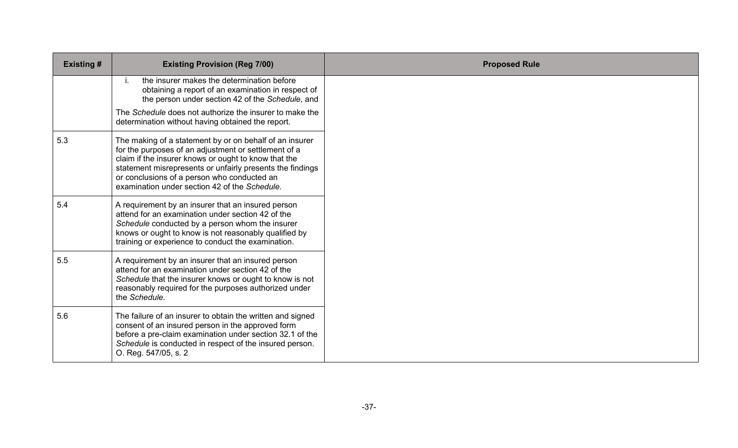| <b>Existing #</b> | <b>Existing Provision (Reg 7/00)</b>                                                                                                                                                                                                                                                                                                 | <b>Proposed Rule</b> |
|-------------------|--------------------------------------------------------------------------------------------------------------------------------------------------------------------------------------------------------------------------------------------------------------------------------------------------------------------------------------|----------------------|
|                   | the insurer makes the determination before<br>i.<br>obtaining a report of an examination in respect of<br>the person under section 42 of the Schedule, and                                                                                                                                                                           |                      |
|                   | The Schedule does not authorize the insurer to make the<br>determination without having obtained the report.                                                                                                                                                                                                                         |                      |
| 5.3               | The making of a statement by or on behalf of an insurer<br>for the purposes of an adjustment or settlement of a<br>claim if the insurer knows or ought to know that the<br>statement misrepresents or unfairly presents the findings<br>or conclusions of a person who conducted an<br>examination under section 42 of the Schedule. |                      |
| 5.4               | A requirement by an insurer that an insured person<br>attend for an examination under section 42 of the<br>Schedule conducted by a person whom the insurer<br>knows or ought to know is not reasonably qualified by<br>training or experience to conduct the examination.                                                            |                      |
| 5.5               | A requirement by an insurer that an insured person<br>attend for an examination under section 42 of the<br>Schedule that the insurer knows or ought to know is not<br>reasonably required for the purposes authorized under<br>the Schedule.                                                                                         |                      |
| 5.6               | The failure of an insurer to obtain the written and signed<br>consent of an insured person in the approved form<br>before a pre-claim examination under section 32.1 of the<br>Schedule is conducted in respect of the insured person.<br>O. Reg. 547/05, s. 2                                                                       |                      |